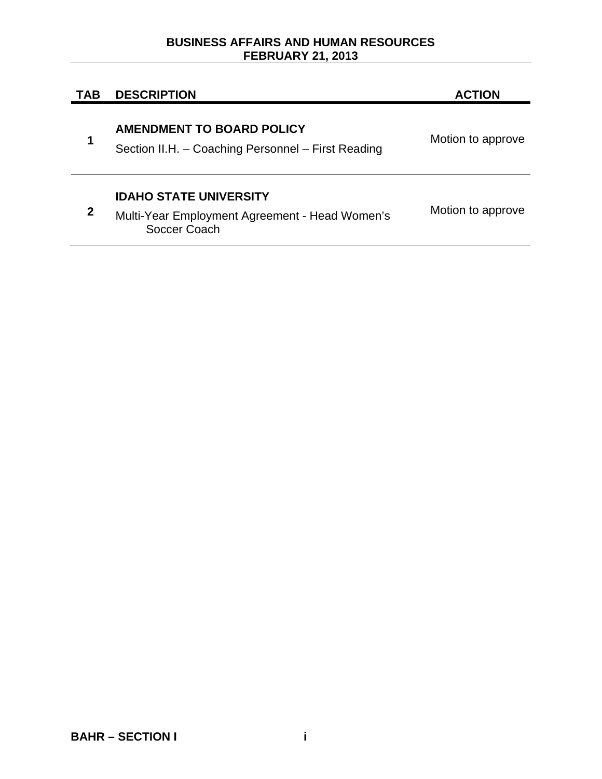## **BUSINESS AFFAIRS AND HUMAN RESOURCES FEBRUARY 21, 2013**

| <b>TAB</b> | <b>DESCRIPTION</b>                                                                              | <b>ACTION</b>     |
|------------|-------------------------------------------------------------------------------------------------|-------------------|
|            | <b>AMENDMENT TO BOARD POLICY</b><br>Section II.H. - Coaching Personnel - First Reading          | Motion to approve |
| 2          | <b>IDAHO STATE UNIVERSITY</b><br>Multi-Year Employment Agreement - Head Women's<br>Soccer Coach | Motion to approve |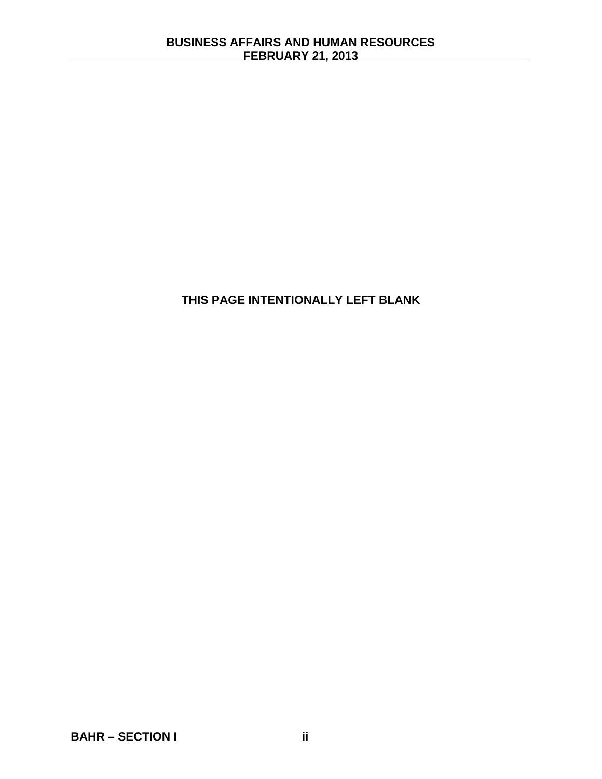# **THIS PAGE INTENTIONALLY LEFT BLANK**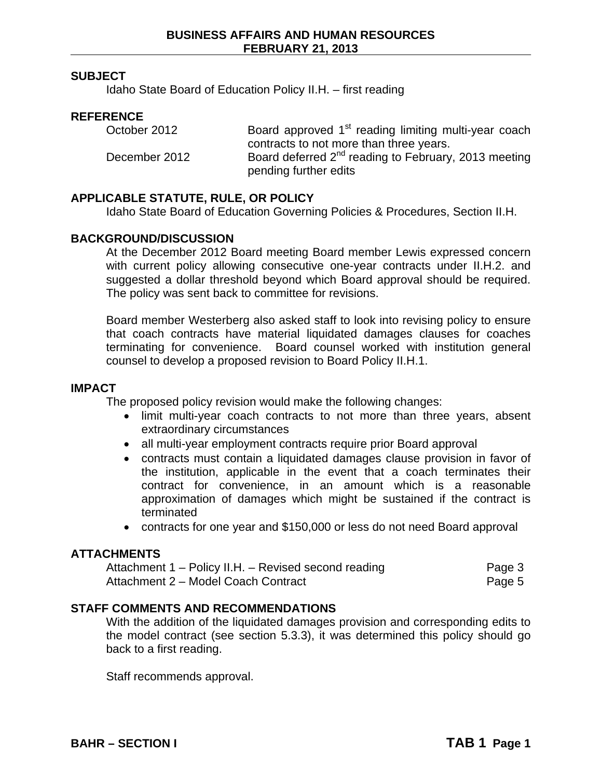#### **SUBJECT**

Idaho State Board of Education Policy II.H. – first reading

#### **REFERENCE**

| October 2012  | Board approved 1 <sup>st</sup> reading limiting multi-year coach |
|---------------|------------------------------------------------------------------|
|               | contracts to not more than three years.                          |
| December 2012 | Board deferred $2^{nd}$ reading to February, 2013 meeting        |
|               | pending further edits                                            |

### **APPLICABLE STATUTE, RULE, OR POLICY**

Idaho State Board of Education Governing Policies & Procedures, Section II.H.

### **BACKGROUND/DISCUSSION**

At the December 2012 Board meeting Board member Lewis expressed concern with current policy allowing consecutive one-year contracts under II.H.2. and suggested a dollar threshold beyond which Board approval should be required. The policy was sent back to committee for revisions.

Board member Westerberg also asked staff to look into revising policy to ensure that coach contracts have material liquidated damages clauses for coaches terminating for convenience. Board counsel worked with institution general counsel to develop a proposed revision to Board Policy II.H.1.

#### **IMPACT**

The proposed policy revision would make the following changes:

- limit multi-year coach contracts to not more than three years, absent extraordinary circumstances
- all multi-year employment contracts require prior Board approval
- contracts must contain a liquidated damages clause provision in favor of the institution, applicable in the event that a coach terminates their contract for convenience, in an amount which is a reasonable approximation of damages which might be sustained if the contract is terminated
- contracts for one year and \$150,000 or less do not need Board approval

#### **ATTACHMENTS**

| Attachment 1 – Policy II.H. – Revised second reading | Page 3 |
|------------------------------------------------------|--------|
| Attachment 2 – Model Coach Contract                  | Page 5 |

#### **STAFF COMMENTS AND RECOMMENDATIONS**

With the addition of the liquidated damages provision and corresponding edits to the model contract (see section 5.3.3), it was determined this policy should go back to a first reading.

Staff recommends approval.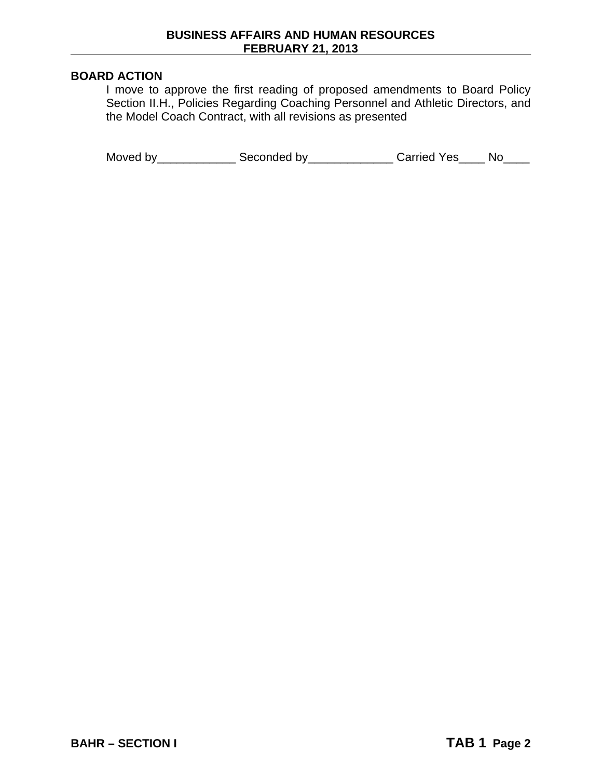#### **BOARD ACTION**

I move to approve the first reading of proposed amendments to Board Policy Section II.H., Policies Regarding Coaching Personnel and Athletic Directors, and the Model Coach Contract, with all revisions as presented

Moved by\_\_\_\_\_\_\_\_\_\_\_\_\_\_\_\_ Seconded by\_\_\_\_\_\_\_\_\_\_\_\_\_\_\_\_ Carried Yes\_\_\_\_\_ No\_\_\_\_\_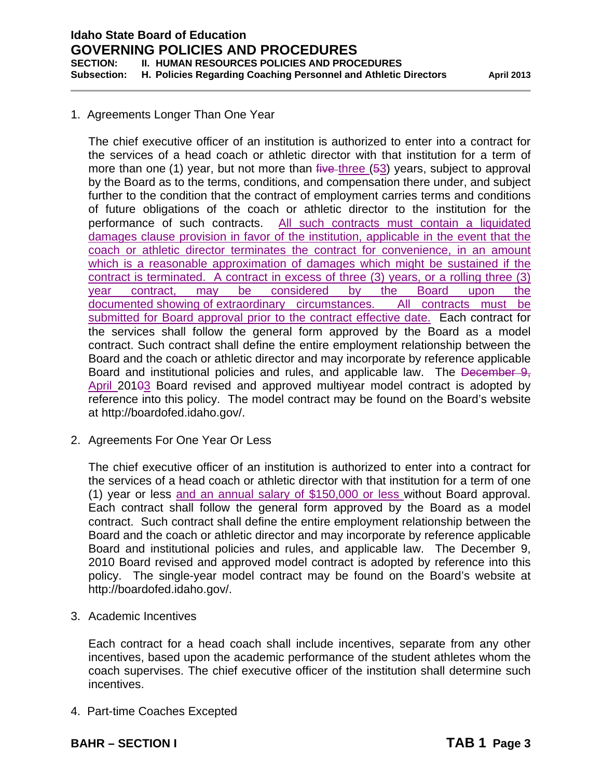#### 1. Agreements Longer Than One Year

The chief executive officer of an institution is authorized to enter into a contract for the services of a head coach or athletic director with that institution for a term of more than one (1) year, but not more than five three (53) years, subject to approval by the Board as to the terms, conditions, and compensation there under, and subject further to the condition that the contract of employment carries terms and conditions of future obligations of the coach or athletic director to the institution for the performance of such contracts. All such contracts must contain a liquidated damages clause provision in favor of the institution, applicable in the event that the coach or athletic director terminates the contract for convenience, in an amount which is a reasonable approximation of damages which might be sustained if the contract is terminated. A contract in excess of three (3) years, or a rolling three (3) year contract, may be considered by the Board upon the documented showing of extraordinary circumstances. All contracts must be submitted for Board approval prior to the contract effective date. Each contract for the services shall follow the general form approved by the Board as a model contract. Such contract shall define the entire employment relationship between the Board and the coach or athletic director and may incorporate by reference applicable Board and institutional policies and rules, and applicable law. The December 9, April 20103 Board revised and approved multiyear model contract is adopted by reference into this policy. The model contract may be found on the Board's website at http://boardofed.idaho.gov/.

2. Agreements For One Year Or Less

The chief executive officer of an institution is authorized to enter into a contract for the services of a head coach or athletic director with that institution for a term of one (1) year or less and an annual salary of \$150,000 or less without Board approval. Each contract shall follow the general form approved by the Board as a model contract. Such contract shall define the entire employment relationship between the Board and the coach or athletic director and may incorporate by reference applicable Board and institutional policies and rules, and applicable law. The December 9, 2010 Board revised and approved model contract is adopted by reference into this policy. The single-year model contract may be found on the Board's website at http://boardofed.idaho.gov/.

3. Academic Incentives

Each contract for a head coach shall include incentives, separate from any other incentives, based upon the academic performance of the student athletes whom the coach supervises. The chief executive officer of the institution shall determine such incentives.

4. Part-time Coaches Excepted

#### **BAHR – SECTION I TAB 1** Page 3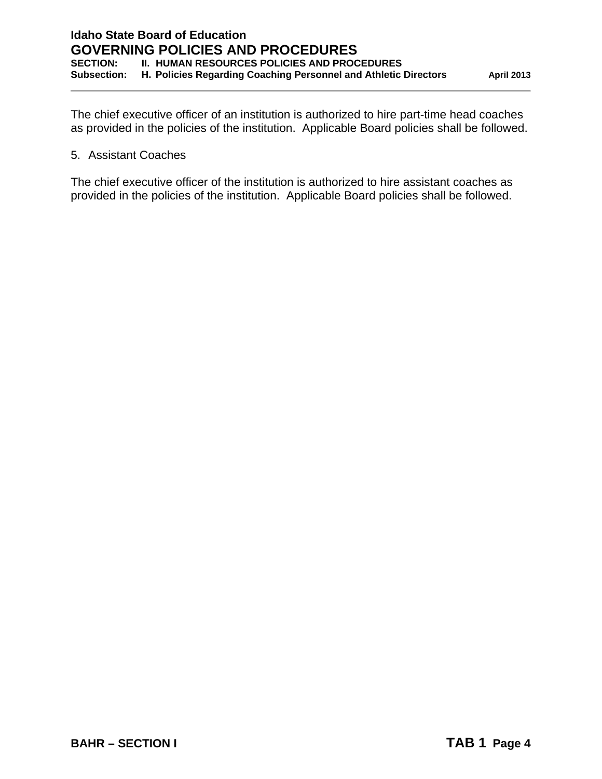### **Idaho State Board of Education GOVERNING POLICIES AND PROCEDURES SECTION: II. HUMAN RESOURCES POLICIES AND PROCEDURES**  Subsection: H. Policies Regarding Coaching Personnel and Athletic Directors **April 2013**

The chief executive officer of an institution is authorized to hire part-time head coaches as provided in the policies of the institution. Applicable Board policies shall be followed.

#### 5. Assistant Coaches

The chief executive officer of the institution is authorized to hire assistant coaches as provided in the policies of the institution. Applicable Board policies shall be followed.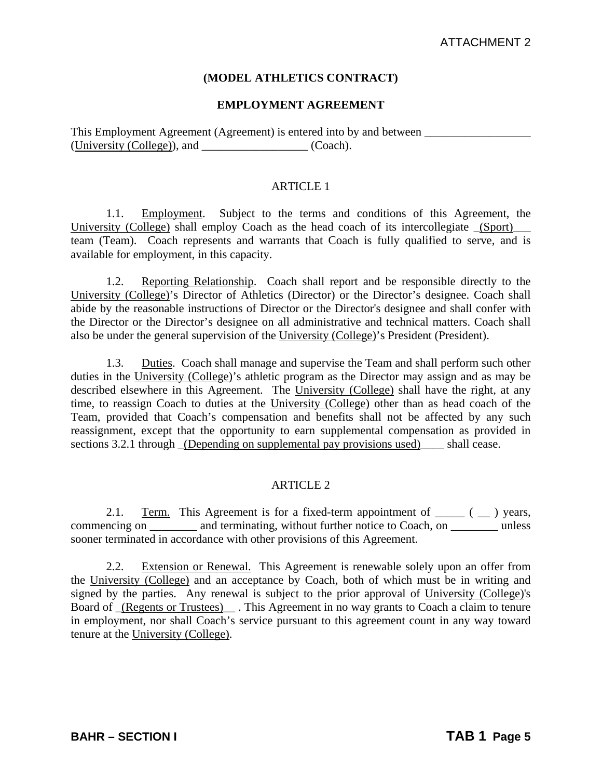## **(MODEL ATHLETICS CONTRACT)**

### **EMPLOYMENT AGREEMENT**

This Employment Agreement (Agreement) is entered into by and between \_\_\_\_\_\_\_\_\_\_\_\_\_\_\_\_\_\_ (University (College)), and \_\_\_\_\_\_\_\_\_\_\_\_\_\_\_\_\_\_ (Coach).

#### ARTICLE 1

1.1. Employment. Subject to the terms and conditions of this Agreement, the University (College) shall employ Coach as the head coach of its intercollegiate  $(Sport)$ team (Team). Coach represents and warrants that Coach is fully qualified to serve, and is available for employment, in this capacity.

1.2. Reporting Relationship. Coach shall report and be responsible directly to the University (College)'s Director of Athletics (Director) or the Director's designee. Coach shall abide by the reasonable instructions of Director or the Director's designee and shall confer with the Director or the Director's designee on all administrative and technical matters. Coach shall also be under the general supervision of the University (College)'s President (President).

1.3. Duties. Coach shall manage and supervise the Team and shall perform such other duties in the University (College)'s athletic program as the Director may assign and as may be described elsewhere in this Agreement. The University (College) shall have the right, at any time, to reassign Coach to duties at the University (College) other than as head coach of the Team, provided that Coach's compensation and benefits shall not be affected by any such reassignment, except that the opportunity to earn supplemental compensation as provided in sections 3.2.1 through (Depending on supplemental pay provisions used) shall cease.

#### ARTICLE 2

2.1. Term. This Agreement is for a fixed-term appointment of  $\frac{1}{\sqrt{2}}$  ( $\frac{1}{\sqrt{2}}$ ) years, commencing on and terminating, without further notice to Coach, on unless sooner terminated in accordance with other provisions of this Agreement.

2.2. Extension or Renewal. This Agreement is renewable solely upon an offer from the University (College) and an acceptance by Coach, both of which must be in writing and signed by the parties. Any renewal is subject to the prior approval of University (College)'s Board of <u>(Regents or Trustees)</u>. This Agreement in no way grants to Coach a claim to tenure in employment, nor shall Coach's service pursuant to this agreement count in any way toward tenure at the University (College).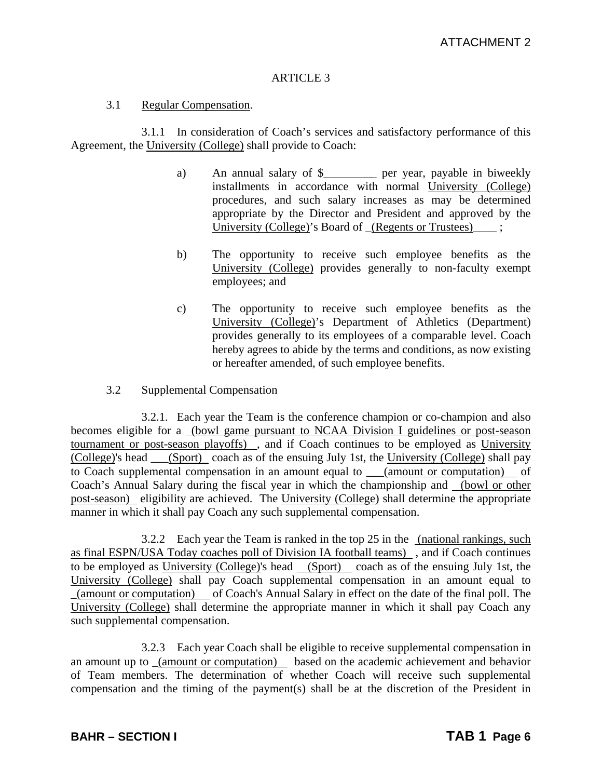## ARTICLE 3

#### 3.1 Regular Compensation.

3.1.1 In consideration of Coach's services and satisfactory performance of this Agreement, the University (College) shall provide to Coach:

- a) An annual salary of \$\_\_\_\_\_\_\_\_\_ per year, payable in biweekly installments in accordance with normal University (College) procedures, and such salary increases as may be determined appropriate by the Director and President and approved by the University (College)'s Board of \_(Regents or Trustees)\_\_\_\_\_;
- b) The opportunity to receive such employee benefits as the University (College) provides generally to non-faculty exempt employees; and
- c) The opportunity to receive such employee benefits as the University (College)'s Department of Athletics (Department) provides generally to its employees of a comparable level. Coach hereby agrees to abide by the terms and conditions, as now existing or hereafter amended, of such employee benefits.
- 3.2 Supplemental Compensation

3.2.1. Each year the Team is the conference champion or co-champion and also becomes eligible for a (bowl game pursuant to NCAA Division I guidelines or post-season tournament or post-season playoffs) , and if Coach continues to be employed as University (College)'s head \_\_\_(Sport) coach as of the ensuing July 1st, the University (College) shall pay to Coach supplemental compensation in an amount equal to (amount or computation) of Coach's Annual Salary during the fiscal year in which the championship and (bowl or other post-season) eligibility are achieved. The University (College) shall determine the appropriate manner in which it shall pay Coach any such supplemental compensation.

3.2.2 Each year the Team is ranked in the top 25 in the (national rankings, such as final ESPN/USA Today coaches poll of Division IA football teams) , and if Coach continues to be employed as University (College)'s head (Sport) coach as of the ensuing July 1st, the University (College) shall pay Coach supplemental compensation in an amount equal to \_(amount or computation) of Coach's Annual Salary in effect on the date of the final poll. The University (College) shall determine the appropriate manner in which it shall pay Coach any such supplemental compensation.

3.2.3 Each year Coach shall be eligible to receive supplemental compensation in an amount up to (amount or computation) based on the academic achievement and behavior of Team members. The determination of whether Coach will receive such supplemental compensation and the timing of the payment(s) shall be at the discretion of the President in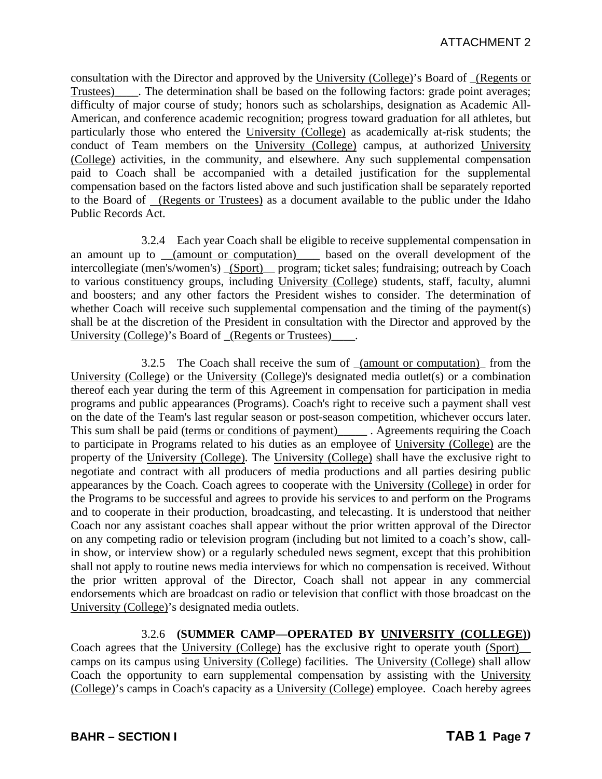consultation with the Director and approved by the University (College)'s Board of \_(Regents or Trustees)\_\_\_\_. The determination shall be based on the following factors: grade point averages; difficulty of major course of study; honors such as scholarships, designation as Academic All-American, and conference academic recognition; progress toward graduation for all athletes, but particularly those who entered the University (College) as academically at-risk students; the conduct of Team members on the University (College) campus, at authorized University (College) activities, in the community, and elsewhere. Any such supplemental compensation paid to Coach shall be accompanied with a detailed justification for the supplemental compensation based on the factors listed above and such justification shall be separately reported to the Board of (Regents or Trustees) as a document available to the public under the Idaho Public Records Act.

3.2.4 Each year Coach shall be eligible to receive supplemental compensation in an amount up to <u>(amount or computation)</u> based on the overall development of the intercollegiate (men's/women's) \_(Sport)\_\_ program; ticket sales; fundraising; outreach by Coach to various constituency groups, including University (College) students, staff, faculty, alumni and boosters; and any other factors the President wishes to consider. The determination of whether Coach will receive such supplemental compensation and the timing of the payment(s) shall be at the discretion of the President in consultation with the Director and approved by the University (College)'s Board of \_(Regents or Trustees)\_

3.2.5 The Coach shall receive the sum of \_(amount or computation)\_ from the University (College) or the University (College)'s designated media outlet(s) or a combination thereof each year during the term of this Agreement in compensation for participation in media programs and public appearances (Programs). Coach's right to receive such a payment shall vest on the date of the Team's last regular season or post-season competition, whichever occurs later. This sum shall be paid (terms or conditions of payment) Agreements requiring the Coach to participate in Programs related to his duties as an employee of University (College) are the property of the University (College). The University (College) shall have the exclusive right to negotiate and contract with all producers of media productions and all parties desiring public appearances by the Coach. Coach agrees to cooperate with the University (College) in order for the Programs to be successful and agrees to provide his services to and perform on the Programs and to cooperate in their production, broadcasting, and telecasting. It is understood that neither Coach nor any assistant coaches shall appear without the prior written approval of the Director on any competing radio or television program (including but not limited to a coach's show, callin show, or interview show) or a regularly scheduled news segment, except that this prohibition shall not apply to routine news media interviews for which no compensation is received. Without the prior written approval of the Director, Coach shall not appear in any commercial endorsements which are broadcast on radio or television that conflict with those broadcast on the University (College)'s designated media outlets.

## 3.2.6 **(SUMMER CAMP—OPERATED BY UNIVERSITY (COLLEGE))**

Coach agrees that the University (College) has the exclusive right to operate youth (Sport) camps on its campus using University (College) facilities. The University (College) shall allow Coach the opportunity to earn supplemental compensation by assisting with the University (College)'s camps in Coach's capacity as a University (College) employee. Coach hereby agrees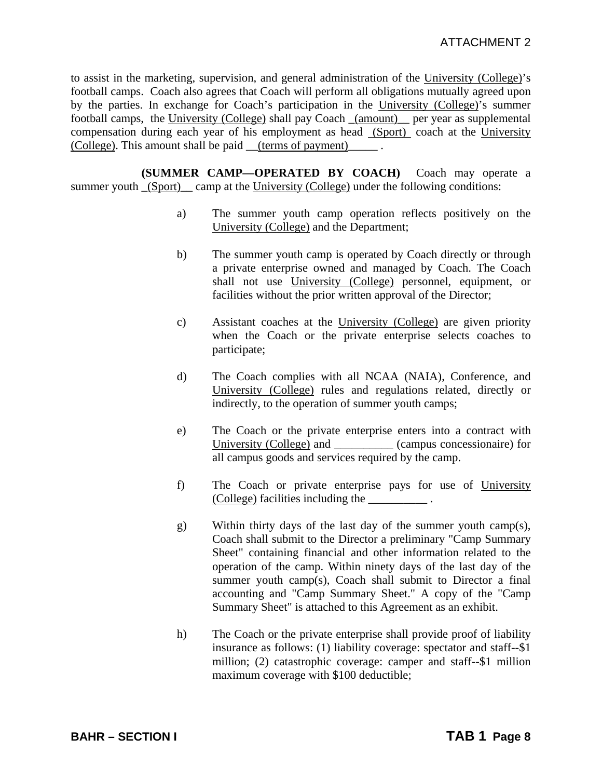to assist in the marketing, supervision, and general administration of the University (College)'s football camps. Coach also agrees that Coach will perform all obligations mutually agreed upon by the parties. In exchange for Coach's participation in the University (College)'s summer football camps, the University (College) shall pay Coach \_(amount)\_\_ per year as supplemental compensation during each year of his employment as head (Sport) coach at the University (College). This amount shall be paid \_\_(terms of payment)\_\_\_\_\_ .

**(SUMMER CAMP—OPERATED BY COACH)** Coach may operate a summer youth (Sport) camp at the University (College) under the following conditions:

- a) The summer youth camp operation reflects positively on the University (College) and the Department;
- b) The summer youth camp is operated by Coach directly or through a private enterprise owned and managed by Coach. The Coach shall not use University (College) personnel, equipment, or facilities without the prior written approval of the Director;
- c) Assistant coaches at the University (College) are given priority when the Coach or the private enterprise selects coaches to participate;
- d) The Coach complies with all NCAA (NAIA), Conference, and University (College) rules and regulations related, directly or indirectly, to the operation of summer youth camps;
- e) The Coach or the private enterprise enters into a contract with University (College) and (campus concessionaire) for all campus goods and services required by the camp.
- f) The Coach or private enterprise pays for use of University (College) facilities including the \_\_\_\_\_\_\_\_\_\_ .
- g) Within thirty days of the last day of the summer youth camp(s), Coach shall submit to the Director a preliminary "Camp Summary Sheet" containing financial and other information related to the operation of the camp. Within ninety days of the last day of the summer youth camp(s), Coach shall submit to Director a final accounting and "Camp Summary Sheet." A copy of the "Camp Summary Sheet" is attached to this Agreement as an exhibit.
- h) The Coach or the private enterprise shall provide proof of liability insurance as follows: (1) liability coverage: spectator and staff--\$1 million; (2) catastrophic coverage: camper and staff--\$1 million maximum coverage with \$100 deductible;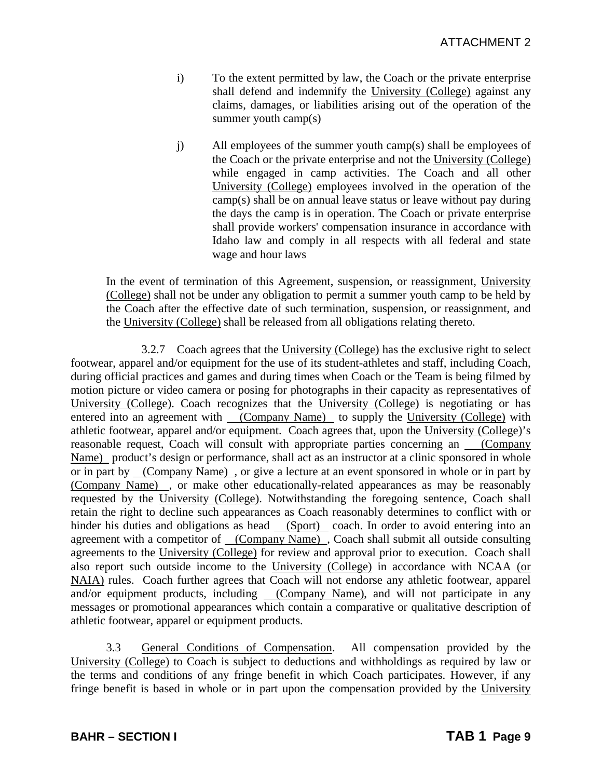- i) To the extent permitted by law, the Coach or the private enterprise shall defend and indemnify the University (College) against any claims, damages, or liabilities arising out of the operation of the summer youth camp(s)
- j) All employees of the summer youth camp(s) shall be employees of the Coach or the private enterprise and not the University (College) while engaged in camp activities. The Coach and all other University (College) employees involved in the operation of the camp(s) shall be on annual leave status or leave without pay during the days the camp is in operation. The Coach or private enterprise shall provide workers' compensation insurance in accordance with Idaho law and comply in all respects with all federal and state wage and hour laws

In the event of termination of this Agreement, suspension, or reassignment, University (College) shall not be under any obligation to permit a summer youth camp to be held by the Coach after the effective date of such termination, suspension, or reassignment, and the University (College) shall be released from all obligations relating thereto.

3.2.7 Coach agrees that the University (College) has the exclusive right to select footwear, apparel and/or equipment for the use of its student-athletes and staff, including Coach, during official practices and games and during times when Coach or the Team is being filmed by motion picture or video camera or posing for photographs in their capacity as representatives of University (College). Coach recognizes that the University (College) is negotiating or has entered into an agreement with (Company Name) to supply the University (College) with athletic footwear, apparel and/or equipment. Coach agrees that, upon the University (College)'s reasonable request, Coach will consult with appropriate parties concerning an (Company Name) product's design or performance, shall act as an instructor at a clinic sponsored in whole or in part by (Company Name) , or give a lecture at an event sponsored in whole or in part by (Company Name) , or make other educationally-related appearances as may be reasonably requested by the University (College). Notwithstanding the foregoing sentence, Coach shall retain the right to decline such appearances as Coach reasonably determines to conflict with or hinder his duties and obligations as head (Sport) coach. In order to avoid entering into an agreement with a competitor of (Company Name) , Coach shall submit all outside consulting agreements to the University (College) for review and approval prior to execution. Coach shall also report such outside income to the University (College) in accordance with NCAA (or NAIA) rules. Coach further agrees that Coach will not endorse any athletic footwear, apparel and/or equipment products, including (Company Name), and will not participate in any messages or promotional appearances which contain a comparative or qualitative description of athletic footwear, apparel or equipment products.

3.3 General Conditions of Compensation. All compensation provided by the University (College) to Coach is subject to deductions and withholdings as required by law or the terms and conditions of any fringe benefit in which Coach participates. However, if any fringe benefit is based in whole or in part upon the compensation provided by the University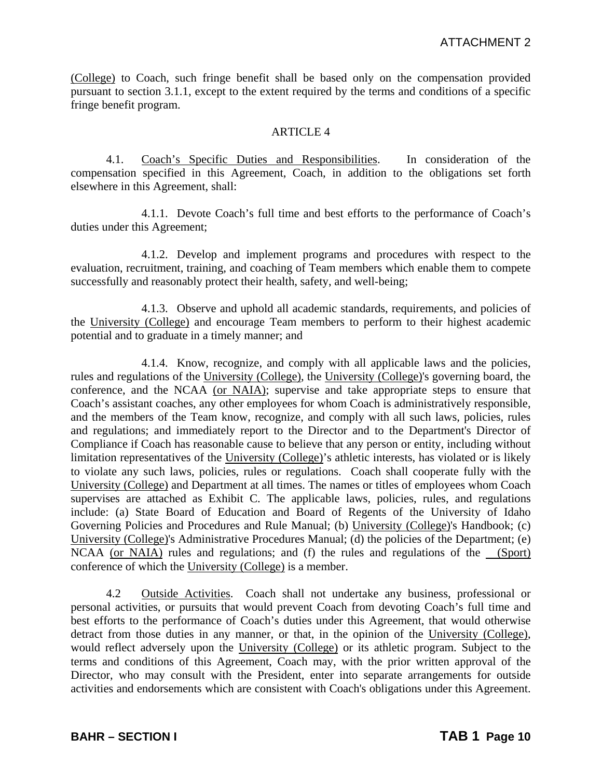(College) to Coach, such fringe benefit shall be based only on the compensation provided pursuant to section 3.1.1, except to the extent required by the terms and conditions of a specific fringe benefit program.

### ARTICLE 4

4.1. Coach's Specific Duties and Responsibilities. In consideration of the compensation specified in this Agreement, Coach, in addition to the obligations set forth elsewhere in this Agreement, shall:

4.1.1. Devote Coach's full time and best efforts to the performance of Coach's duties under this Agreement;

4.1.2. Develop and implement programs and procedures with respect to the evaluation, recruitment, training, and coaching of Team members which enable them to compete successfully and reasonably protect their health, safety, and well-being;

4.1.3. Observe and uphold all academic standards, requirements, and policies of the University (College) and encourage Team members to perform to their highest academic potential and to graduate in a timely manner; and

4.1.4. Know, recognize, and comply with all applicable laws and the policies, rules and regulations of the University (College), the University (College)'s governing board, the conference, and the NCAA (or NAIA); supervise and take appropriate steps to ensure that Coach's assistant coaches, any other employees for whom Coach is administratively responsible, and the members of the Team know, recognize, and comply with all such laws, policies, rules and regulations; and immediately report to the Director and to the Department's Director of Compliance if Coach has reasonable cause to believe that any person or entity, including without limitation representatives of the University (College)'s athletic interests, has violated or is likely to violate any such laws, policies, rules or regulations. Coach shall cooperate fully with the University (College) and Department at all times. The names or titles of employees whom Coach supervises are attached as Exhibit C. The applicable laws, policies, rules, and regulations include: (a) State Board of Education and Board of Regents of the University of Idaho Governing Policies and Procedures and Rule Manual; (b) University (College)'s Handbook; (c) University (College)'s Administrative Procedures Manual; (d) the policies of the Department; (e) NCAA (or NAIA) rules and regulations; and (f) the rules and regulations of the (Sport) conference of which the University (College) is a member.

4.2 Outside Activities. Coach shall not undertake any business, professional or personal activities, or pursuits that would prevent Coach from devoting Coach's full time and best efforts to the performance of Coach's duties under this Agreement, that would otherwise detract from those duties in any manner, or that, in the opinion of the University (College), would reflect adversely upon the University (College) or its athletic program. Subject to the terms and conditions of this Agreement, Coach may, with the prior written approval of the Director, who may consult with the President, enter into separate arrangements for outside activities and endorsements which are consistent with Coach's obligations under this Agreement.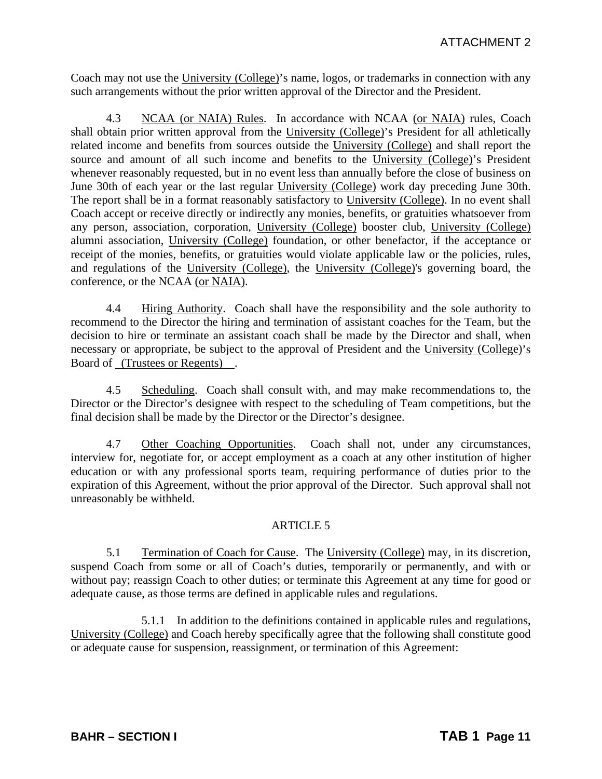Coach may not use the University (College)'s name, logos, or trademarks in connection with any such arrangements without the prior written approval of the Director and the President.

4.3 NCAA (or NAIA) Rules. In accordance with NCAA (or NAIA) rules, Coach shall obtain prior written approval from the University (College)'s President for all athletically related income and benefits from sources outside the University (College) and shall report the source and amount of all such income and benefits to the University (College)'s President whenever reasonably requested, but in no event less than annually before the close of business on June 30th of each year or the last regular University (College) work day preceding June 30th. The report shall be in a format reasonably satisfactory to University (College). In no event shall Coach accept or receive directly or indirectly any monies, benefits, or gratuities whatsoever from any person, association, corporation, University (College) booster club, University (College) alumni association, University (College) foundation, or other benefactor, if the acceptance or receipt of the monies, benefits, or gratuities would violate applicable law or the policies, rules, and regulations of the University (College), the University (College)'s governing board, the conference, or the NCAA (or NAIA).

4.4 Hiring Authority. Coach shall have the responsibility and the sole authority to recommend to the Director the hiring and termination of assistant coaches for the Team, but the decision to hire or terminate an assistant coach shall be made by the Director and shall, when necessary or appropriate, be subject to the approval of President and the University (College)'s Board of (Trustees or Regents) .

4.5 Scheduling. Coach shall consult with, and may make recommendations to, the Director or the Director's designee with respect to the scheduling of Team competitions, but the final decision shall be made by the Director or the Director's designee.

4.7 Other Coaching Opportunities. Coach shall not, under any circumstances, interview for, negotiate for, or accept employment as a coach at any other institution of higher education or with any professional sports team, requiring performance of duties prior to the expiration of this Agreement, without the prior approval of the Director. Such approval shall not unreasonably be withheld.

#### ARTICLE 5

5.1 Termination of Coach for Cause. The University (College) may, in its discretion, suspend Coach from some or all of Coach's duties, temporarily or permanently, and with or without pay; reassign Coach to other duties; or terminate this Agreement at any time for good or adequate cause, as those terms are defined in applicable rules and regulations.

5.1.1 In addition to the definitions contained in applicable rules and regulations, University (College) and Coach hereby specifically agree that the following shall constitute good or adequate cause for suspension, reassignment, or termination of this Agreement: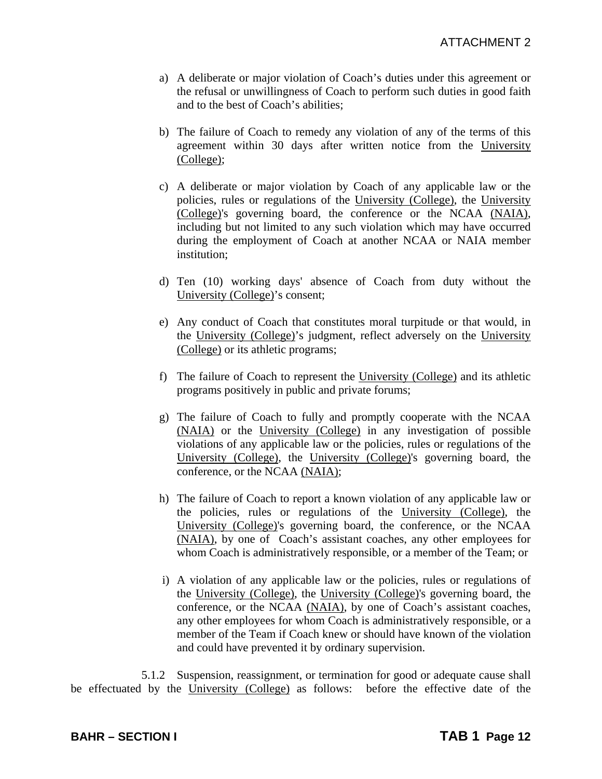- a) A deliberate or major violation of Coach's duties under this agreement or the refusal or unwillingness of Coach to perform such duties in good faith and to the best of Coach's abilities;
- b) The failure of Coach to remedy any violation of any of the terms of this agreement within 30 days after written notice from the University (College);
- c) A deliberate or major violation by Coach of any applicable law or the policies, rules or regulations of the University (College), the University (College)'s governing board, the conference or the NCAA (NAIA), including but not limited to any such violation which may have occurred during the employment of Coach at another NCAA or NAIA member institution;
- d) Ten (10) working days' absence of Coach from duty without the University (College)'s consent;
- e) Any conduct of Coach that constitutes moral turpitude or that would, in the University (College)'s judgment, reflect adversely on the University (College) or its athletic programs;
- f) The failure of Coach to represent the University (College) and its athletic programs positively in public and private forums;
- g) The failure of Coach to fully and promptly cooperate with the NCAA (NAIA) or the University (College) in any investigation of possible violations of any applicable law or the policies, rules or regulations of the University (College), the University (College)'s governing board, the conference, or the NCAA (NAIA);
- h) The failure of Coach to report a known violation of any applicable law or the policies, rules or regulations of the University (College), the University (College)'s governing board, the conference, or the NCAA (NAIA), by one of Coach's assistant coaches, any other employees for whom Coach is administratively responsible, or a member of the Team; or
- i) A violation of any applicable law or the policies, rules or regulations of the University (College), the University (College)'s governing board, the conference, or the NCAA (NAIA), by one of Coach's assistant coaches, any other employees for whom Coach is administratively responsible, or a member of the Team if Coach knew or should have known of the violation and could have prevented it by ordinary supervision.

5.1.2 Suspension, reassignment, or termination for good or adequate cause shall be effectuated by the University (College) as follows: before the effective date of the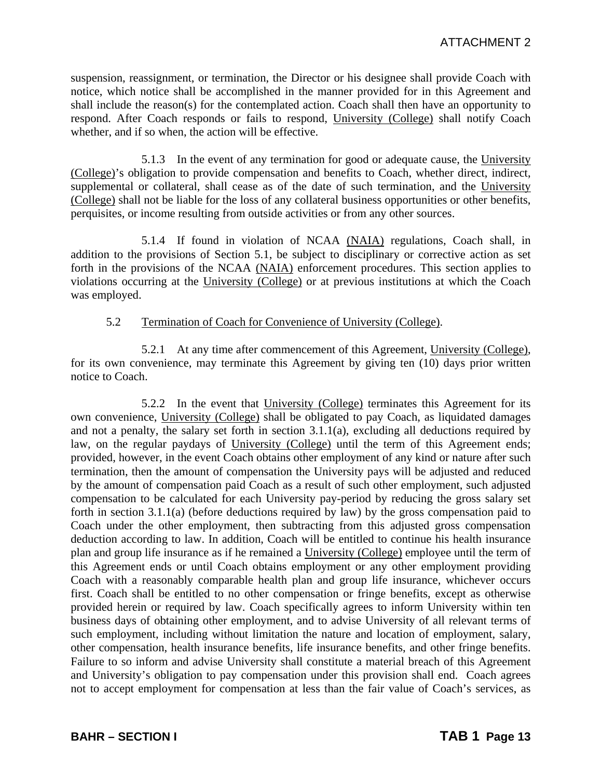suspension, reassignment, or termination, the Director or his designee shall provide Coach with notice, which notice shall be accomplished in the manner provided for in this Agreement and shall include the reason(s) for the contemplated action. Coach shall then have an opportunity to respond. After Coach responds or fails to respond, University (College) shall notify Coach whether, and if so when, the action will be effective.

5.1.3 In the event of any termination for good or adequate cause, the University (College)'s obligation to provide compensation and benefits to Coach, whether direct, indirect, supplemental or collateral, shall cease as of the date of such termination, and the University (College) shall not be liable for the loss of any collateral business opportunities or other benefits, perquisites, or income resulting from outside activities or from any other sources.

5.1.4 If found in violation of NCAA (NAIA) regulations, Coach shall, in addition to the provisions of Section 5.1, be subject to disciplinary or corrective action as set forth in the provisions of the NCAA (NAIA) enforcement procedures. This section applies to violations occurring at the University (College) or at previous institutions at which the Coach was employed.

### 5.2 Termination of Coach for Convenience of University (College).

5.2.1 At any time after commencement of this Agreement, University (College), for its own convenience, may terminate this Agreement by giving ten (10) days prior written notice to Coach.

5.2.2 In the event that University (College) terminates this Agreement for its own convenience, University (College) shall be obligated to pay Coach, as liquidated damages and not a penalty, the salary set forth in section 3.1.1(a), excluding all deductions required by law, on the regular paydays of University (College) until the term of this Agreement ends; provided, however, in the event Coach obtains other employment of any kind or nature after such termination, then the amount of compensation the University pays will be adjusted and reduced by the amount of compensation paid Coach as a result of such other employment, such adjusted compensation to be calculated for each University pay-period by reducing the gross salary set forth in section 3.1.1(a) (before deductions required by law) by the gross compensation paid to Coach under the other employment, then subtracting from this adjusted gross compensation deduction according to law. In addition, Coach will be entitled to continue his health insurance plan and group life insurance as if he remained a University (College) employee until the term of this Agreement ends or until Coach obtains employment or any other employment providing Coach with a reasonably comparable health plan and group life insurance, whichever occurs first. Coach shall be entitled to no other compensation or fringe benefits, except as otherwise provided herein or required by law. Coach specifically agrees to inform University within ten business days of obtaining other employment, and to advise University of all relevant terms of such employment, including without limitation the nature and location of employment, salary, other compensation, health insurance benefits, life insurance benefits, and other fringe benefits. Failure to so inform and advise University shall constitute a material breach of this Agreement and University's obligation to pay compensation under this provision shall end. Coach agrees not to accept employment for compensation at less than the fair value of Coach's services, as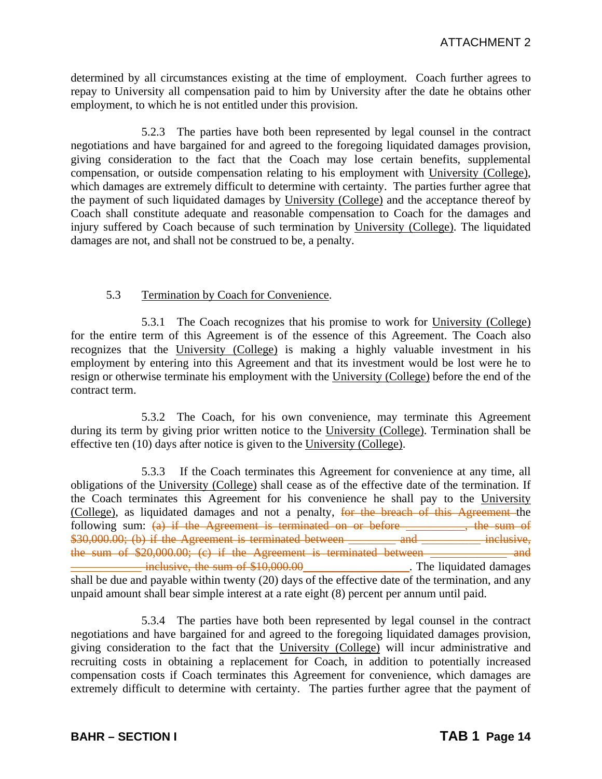determined by all circumstances existing at the time of employment. Coach further agrees to repay to University all compensation paid to him by University after the date he obtains other employment, to which he is not entitled under this provision.

5.2.3 The parties have both been represented by legal counsel in the contract negotiations and have bargained for and agreed to the foregoing liquidated damages provision, giving consideration to the fact that the Coach may lose certain benefits, supplemental compensation, or outside compensation relating to his employment with University (College), which damages are extremely difficult to determine with certainty. The parties further agree that the payment of such liquidated damages by University (College) and the acceptance thereof by Coach shall constitute adequate and reasonable compensation to Coach for the damages and injury suffered by Coach because of such termination by University (College). The liquidated damages are not, and shall not be construed to be, a penalty.

## 5.3 Termination by Coach for Convenience.

 5.3.1 The Coach recognizes that his promise to work for University (College) for the entire term of this Agreement is of the essence of this Agreement. The Coach also recognizes that the University (College) is making a highly valuable investment in his employment by entering into this Agreement and that its investment would be lost were he to resign or otherwise terminate his employment with the University (College) before the end of the contract term.

 5.3.2 The Coach, for his own convenience, may terminate this Agreement during its term by giving prior written notice to the University (College). Termination shall be effective ten (10) days after notice is given to the University (College).

 5.3.3 If the Coach terminates this Agreement for convenience at any time, all obligations of the University (College) shall cease as of the effective date of the termination. If the Coach terminates this Agreement for his convenience he shall pay to the University (College), as liquidated damages and not a penalty, for the breach of this Agreement the following sum:  $\overline{(a)}$  if the Agreement is terminated on or before  $\overline{a}$ , the sum of \$30,000.00; (b) if the Agreement is terminated between \_\_\_\_\_\_\_\_ and \_\_\_\_\_\_\_\_\_ inclusive, the sum of  $$20,000.00$ ; (c) if the Agreement is terminated between and **EXECUTE:** inclusive, the sum of \$10,000.00 COMPO The liquidated damages shall be due and payable within twenty (20) days of the effective date of the termination, and any unpaid amount shall bear simple interest at a rate eight (8) percent per annum until paid.

 5.3.4 The parties have both been represented by legal counsel in the contract negotiations and have bargained for and agreed to the foregoing liquidated damages provision, giving consideration to the fact that the University (College) will incur administrative and recruiting costs in obtaining a replacement for Coach, in addition to potentially increased compensation costs if Coach terminates this Agreement for convenience, which damages are extremely difficult to determine with certainty. The parties further agree that the payment of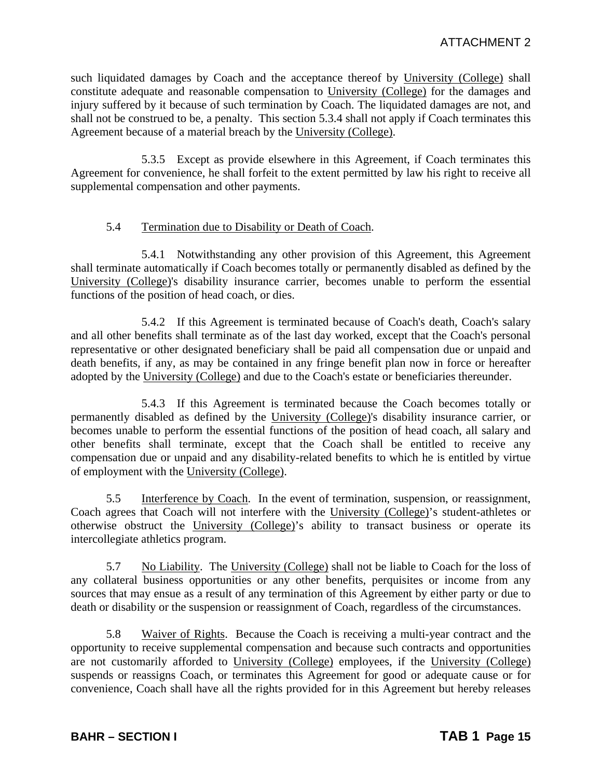such liquidated damages by Coach and the acceptance thereof by University (College) shall constitute adequate and reasonable compensation to University (College) for the damages and injury suffered by it because of such termination by Coach. The liquidated damages are not, and shall not be construed to be, a penalty. This section 5.3.4 shall not apply if Coach terminates this Agreement because of a material breach by the University (College).

 5.3.5 Except as provide elsewhere in this Agreement, if Coach terminates this Agreement for convenience, he shall forfeit to the extent permitted by law his right to receive all supplemental compensation and other payments.

## 5.4 Termination due to Disability or Death of Coach.

5.4.1 Notwithstanding any other provision of this Agreement, this Agreement shall terminate automatically if Coach becomes totally or permanently disabled as defined by the University (College)'s disability insurance carrier, becomes unable to perform the essential functions of the position of head coach, or dies.

5.4.2 If this Agreement is terminated because of Coach's death, Coach's salary and all other benefits shall terminate as of the last day worked, except that the Coach's personal representative or other designated beneficiary shall be paid all compensation due or unpaid and death benefits, if any, as may be contained in any fringe benefit plan now in force or hereafter adopted by the University (College) and due to the Coach's estate or beneficiaries thereunder.

5.4.3 If this Agreement is terminated because the Coach becomes totally or permanently disabled as defined by the University (College)'s disability insurance carrier, or becomes unable to perform the essential functions of the position of head coach, all salary and other benefits shall terminate, except that the Coach shall be entitled to receive any compensation due or unpaid and any disability-related benefits to which he is entitled by virtue of employment with the University (College).

5.5 Interference by Coach. In the event of termination, suspension, or reassignment, Coach agrees that Coach will not interfere with the University (College)'s student-athletes or otherwise obstruct the University (College)'s ability to transact business or operate its intercollegiate athletics program.

5.7 No Liability. The University (College) shall not be liable to Coach for the loss of any collateral business opportunities or any other benefits, perquisites or income from any sources that may ensue as a result of any termination of this Agreement by either party or due to death or disability or the suspension or reassignment of Coach, regardless of the circumstances.

5.8 Waiver of Rights. Because the Coach is receiving a multi-year contract and the opportunity to receive supplemental compensation and because such contracts and opportunities are not customarily afforded to University (College) employees, if the University (College) suspends or reassigns Coach, or terminates this Agreement for good or adequate cause or for convenience, Coach shall have all the rights provided for in this Agreement but hereby releases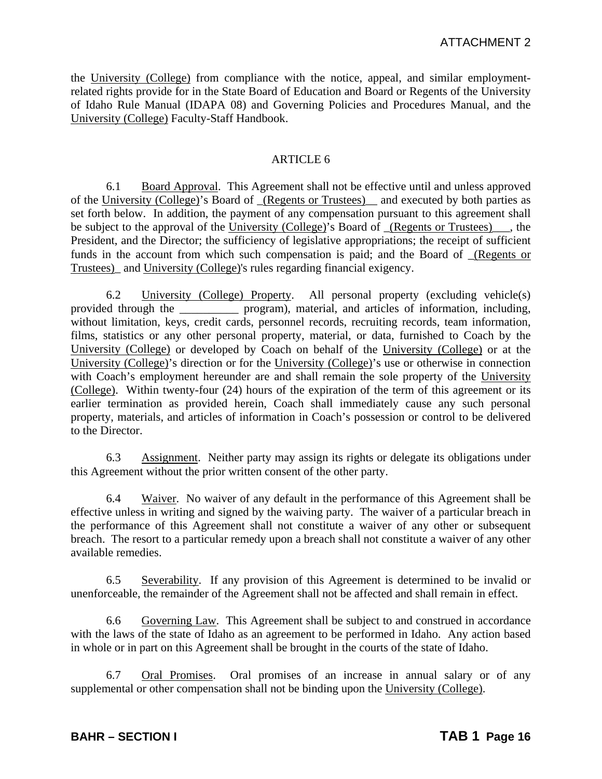the University (College) from compliance with the notice, appeal, and similar employmentrelated rights provide for in the State Board of Education and Board or Regents of the University of Idaho Rule Manual (IDAPA 08) and Governing Policies and Procedures Manual, and the University (College) Faculty-Staff Handbook.

#### ARTICLE 6

6.1 Board Approval. This Agreement shall not be effective until and unless approved of the University (College)'s Board of <u>(Regents or Trustees)</u> and executed by both parties as set forth below. In addition, the payment of any compensation pursuant to this agreement shall be subject to the approval of the University (College)'s Board of \_(Regents or Trustees)\_\_\_, the President, and the Director; the sufficiency of legislative appropriations; the receipt of sufficient funds in the account from which such compensation is paid; and the Board of (Regents or Trustees)\_ and University (College)'s rules regarding financial exigency.

6.2 University (College) Property. All personal property (excluding vehicle(s) provided through the \_\_\_\_\_\_\_\_\_\_ program), material, and articles of information, including, without limitation, keys, credit cards, personnel records, recruiting records, team information, films, statistics or any other personal property, material, or data, furnished to Coach by the University (College) or developed by Coach on behalf of the University (College) or at the University (College)'s direction or for the University (College)'s use or otherwise in connection with Coach's employment hereunder are and shall remain the sole property of the University (College). Within twenty-four (24) hours of the expiration of the term of this agreement or its earlier termination as provided herein, Coach shall immediately cause any such personal property, materials, and articles of information in Coach's possession or control to be delivered to the Director.

6.3 Assignment. Neither party may assign its rights or delegate its obligations under this Agreement without the prior written consent of the other party.

6.4 Waiver. No waiver of any default in the performance of this Agreement shall be effective unless in writing and signed by the waiving party. The waiver of a particular breach in the performance of this Agreement shall not constitute a waiver of any other or subsequent breach. The resort to a particular remedy upon a breach shall not constitute a waiver of any other available remedies.

6.5 Severability. If any provision of this Agreement is determined to be invalid or unenforceable, the remainder of the Agreement shall not be affected and shall remain in effect.

6.6 Governing Law. This Agreement shall be subject to and construed in accordance with the laws of the state of Idaho as an agreement to be performed in Idaho. Any action based in whole or in part on this Agreement shall be brought in the courts of the state of Idaho.

6.7 Oral Promises. Oral promises of an increase in annual salary or of any supplemental or other compensation shall not be binding upon the University (College).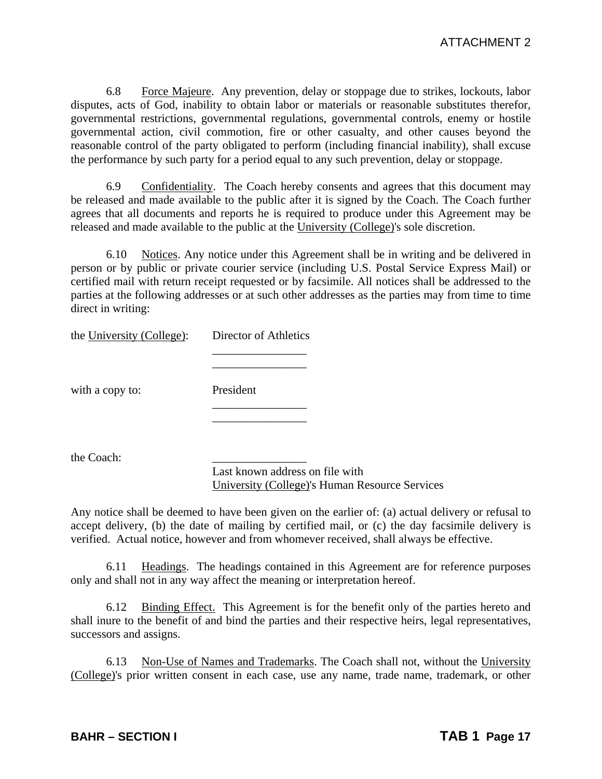6.8 Force Majeure. Any prevention, delay or stoppage due to strikes, lockouts, labor disputes, acts of God, inability to obtain labor or materials or reasonable substitutes therefor, governmental restrictions, governmental regulations, governmental controls, enemy or hostile governmental action, civil commotion, fire or other casualty, and other causes beyond the reasonable control of the party obligated to perform (including financial inability), shall excuse the performance by such party for a period equal to any such prevention, delay or stoppage.

6.9 Confidentiality. The Coach hereby consents and agrees that this document may be released and made available to the public after it is signed by the Coach. The Coach further agrees that all documents and reports he is required to produce under this Agreement may be released and made available to the public at the University (College)'s sole discretion.

6.10 Notices. Any notice under this Agreement shall be in writing and be delivered in person or by public or private courier service (including U.S. Postal Service Express Mail) or certified mail with return receipt requested or by facsimile. All notices shall be addressed to the parties at the following addresses or at such other addresses as the parties may from time to time direct in writing:

| the University (College): | Director of Athletics |
|---------------------------|-----------------------|
|                           |                       |
|                           |                       |

 $\frac{1}{2}$  , and the set of the set of the set of the set of the set of the set of the set of the set of the set of the set of the set of the set of the set of the set of the set of the set of the set of the set of the set  $\mathcal{L}_\text{max}$  and  $\mathcal{L}_\text{max}$  and  $\mathcal{L}_\text{max}$  and  $\mathcal{L}_\text{max}$ 

with a copy to: President

the Coach: \_\_\_\_\_\_\_\_\_\_\_\_\_\_\_\_

 Last known address on file with University (College)'s Human Resource Services

Any notice shall be deemed to have been given on the earlier of: (a) actual delivery or refusal to accept delivery, (b) the date of mailing by certified mail, or (c) the day facsimile delivery is verified. Actual notice, however and from whomever received, shall always be effective.

6.11 Headings. The headings contained in this Agreement are for reference purposes only and shall not in any way affect the meaning or interpretation hereof.

 6.12 Binding Effect. This Agreement is for the benefit only of the parties hereto and shall inure to the benefit of and bind the parties and their respective heirs, legal representatives, successors and assigns.

 6.13 Non-Use of Names and Trademarks. The Coach shall not, without the University (College)'s prior written consent in each case, use any name, trade name, trademark, or other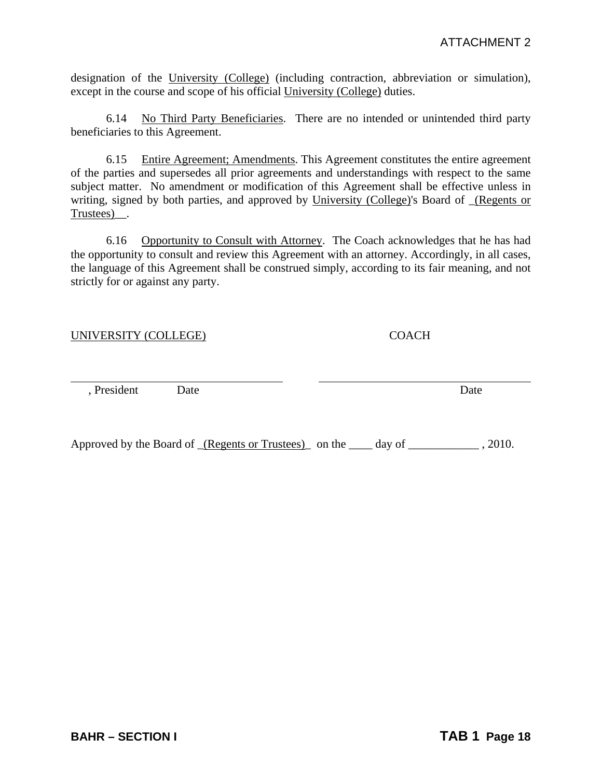designation of the University (College) (including contraction, abbreviation or simulation), except in the course and scope of his official University (College) duties.

 6.14 No Third Party Beneficiaries. There are no intended or unintended third party beneficiaries to this Agreement.

6.15 Entire Agreement; Amendments. This Agreement constitutes the entire agreement of the parties and supersedes all prior agreements and understandings with respect to the same subject matter. No amendment or modification of this Agreement shall be effective unless in writing, signed by both parties, and approved by University (College)'s Board of \_(Regents or Trustees)\_.

6.16 Opportunity to Consult with Attorney. The Coach acknowledges that he has had the opportunity to consult and review this Agreement with an attorney. Accordingly, in all cases, the language of this Agreement shall be construed simply, according to its fair meaning, and not strictly for or against any party.

### UNIVERSITY (COLLEGE) COACH

, President Date Date

 $\overline{a}$ 

Approved by the Board of <u>(Regents or Trustees)</u> on the day of \_\_\_\_\_\_\_\_\_\_\_ , 2010.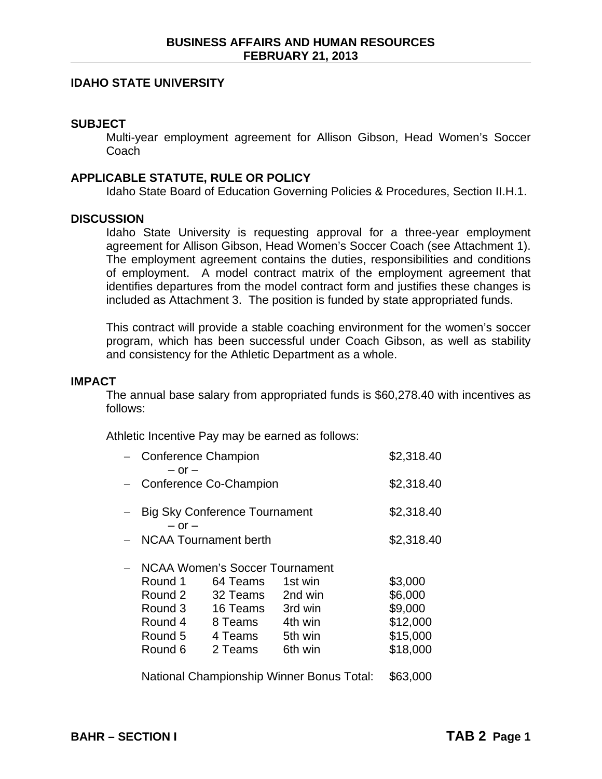### **IDAHO STATE UNIVERSITY**

#### **SUBJECT**

 Multi-year employment agreement for Allison Gibson, Head Women's Soccer Coach

#### **APPLICABLE STATUTE, RULE OR POLICY**

Idaho State Board of Education Governing Policies & Procedures, Section II.H.1.

#### **DISCUSSION**

 Idaho State University is requesting approval for a three-year employment agreement for Allison Gibson, Head Women's Soccer Coach (see Attachment 1). The employment agreement contains the duties, responsibilities and conditions of employment. A model contract matrix of the employment agreement that identifies departures from the model contract form and justifies these changes is included as Attachment 3. The position is funded by state appropriated funds.

 This contract will provide a stable coaching environment for the women's soccer program, which has been successful under Coach Gibson, as well as stability and consistency for the Athletic Department as a whole.

#### **IMPACT**

The annual base salary from appropriated funds is \$60,278.40 with incentives as follows:

Athletic Incentive Pay may be earned as follows:

| <b>Conference Champion</b><br>$-$ or $-$                       |                                                                                                            |                                                                | \$2,318.40                                                        |
|----------------------------------------------------------------|------------------------------------------------------------------------------------------------------------|----------------------------------------------------------------|-------------------------------------------------------------------|
|                                                                | Conference Co-Champion                                                                                     |                                                                | \$2,318.40                                                        |
| <b>Big Sky Conference Tournament</b><br>$-$ or $-$             | \$2,318.40                                                                                                 |                                                                |                                                                   |
|                                                                | <b>NCAA Tournament berth</b>                                                                               |                                                                | \$2,318.40                                                        |
| Round 1<br>Round 2<br>Round 3<br>Round 4<br>Round 5<br>Round 6 | <b>NCAA Women's Soccer Tournament</b><br>64 Teams<br>32 Teams<br>16 Teams<br>8 Teams<br>4 Teams<br>2 Teams | 1st win<br>2nd win<br>3rd win<br>4th win<br>5th win<br>6th win | \$3,000<br>\$6,000<br>\$9,000<br>\$12,000<br>\$15,000<br>\$18,000 |
|                                                                |                                                                                                            | <b>National Championship Winner Bonus Total:</b>               | \$63,000                                                          |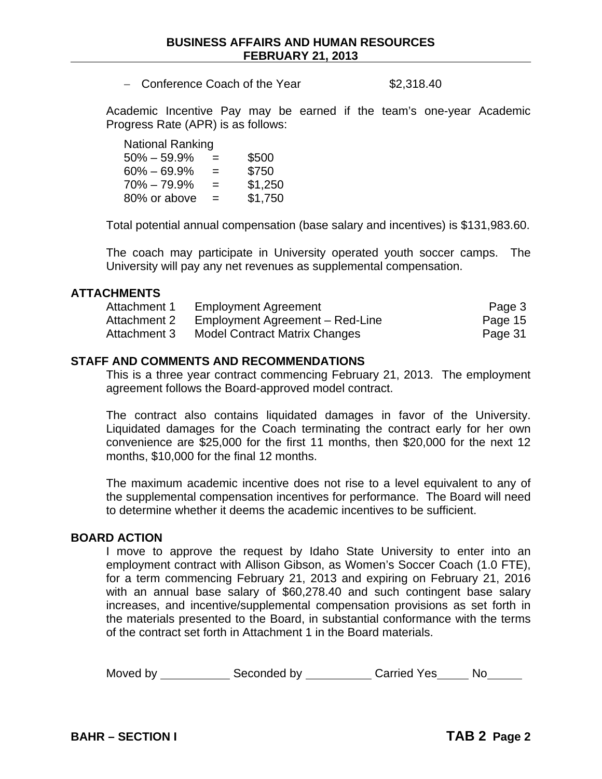- Conference Coach of the Year \$2,318.40

Academic Incentive Pay may be earned if the team's one-year Academic Progress Rate (APR) is as follows:

National Ranking  $50\% - 59.9\% = $500$  $60\% - 69.9\% = $750$  $70\% - 79.9\% =$  \$1.250  $80\%$  or above = \$1,750

Total potential annual compensation (base salary and incentives) is \$131,983.60.

The coach may participate in University operated youth soccer camps. The University will pay any net revenues as supplemental compensation.

## **ATTACHMENTS**

| Attachment 1 | <b>Employment Agreement</b>          | Page 3  |
|--------------|--------------------------------------|---------|
| Attachment 2 | Employment Agreement – Red-Line      | Page 15 |
| Attachment 3 | <b>Model Contract Matrix Changes</b> | Page 31 |

## **STAFF AND COMMENTS AND RECOMMENDATIONS**

This is a three year contract commencing February 21, 2013. The employment agreement follows the Board-approved model contract.

The contract also contains liquidated damages in favor of the University. Liquidated damages for the Coach terminating the contract early for her own convenience are \$25,000 for the first 11 months, then \$20,000 for the next 12 months, \$10,000 for the final 12 months.

The maximum academic incentive does not rise to a level equivalent to any of the supplemental compensation incentives for performance. The Board will need to determine whether it deems the academic incentives to be sufficient.

#### **BOARD ACTION**

I move to approve the request by Idaho State University to enter into an employment contract with Allison Gibson, as Women's Soccer Coach (1.0 FTE), for a term commencing February 21, 2013 and expiring on February 21, 2016 with an annual base salary of \$60,278.40 and such contingent base salary increases, and incentive/supplemental compensation provisions as set forth in the materials presented to the Board, in substantial conformance with the terms of the contract set forth in Attachment 1 in the Board materials.

| Moved by | Seconded by | <b>Carried Yes</b> | <b>NO</b> |
|----------|-------------|--------------------|-----------|
|          |             |                    |           |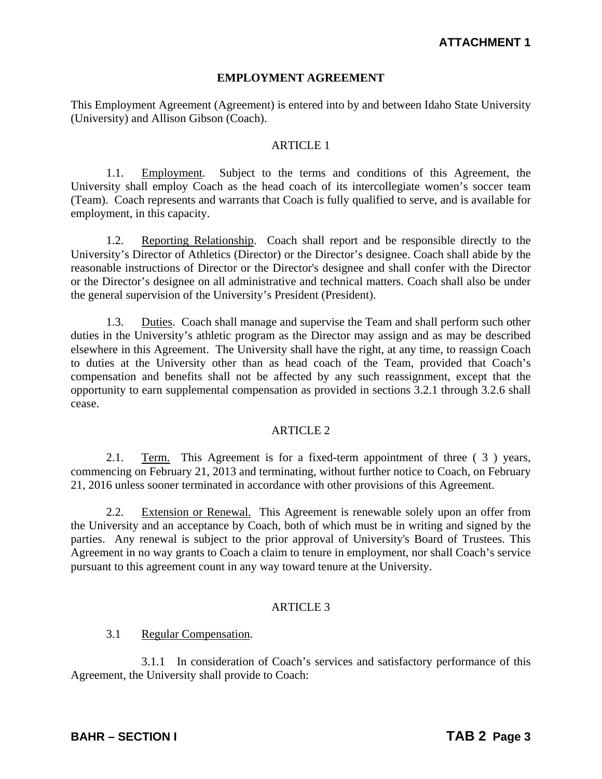#### **EMPLOYMENT AGREEMENT**

This Employment Agreement (Agreement) is entered into by and between Idaho State University (University) and Allison Gibson (Coach).

#### ARTICLE 1

1.1. Employment. Subject to the terms and conditions of this Agreement, the University shall employ Coach as the head coach of its intercollegiate women's soccer team (Team). Coach represents and warrants that Coach is fully qualified to serve, and is available for employment, in this capacity.

1.2. Reporting Relationship. Coach shall report and be responsible directly to the University's Director of Athletics (Director) or the Director's designee. Coach shall abide by the reasonable instructions of Director or the Director's designee and shall confer with the Director or the Director's designee on all administrative and technical matters. Coach shall also be under the general supervision of the University's President (President).

1.3. Duties. Coach shall manage and supervise the Team and shall perform such other duties in the University's athletic program as the Director may assign and as may be described elsewhere in this Agreement. The University shall have the right, at any time, to reassign Coach to duties at the University other than as head coach of the Team, provided that Coach's compensation and benefits shall not be affected by any such reassignment, except that the opportunity to earn supplemental compensation as provided in sections 3.2.1 through 3.2.6 shall cease.

#### ARTICLE 2

2.1. Term. This Agreement is for a fixed-term appointment of three ( 3 ) years, commencing on February 21, 2013 and terminating, without further notice to Coach, on February 21, 2016 unless sooner terminated in accordance with other provisions of this Agreement.

2.2. Extension or Renewal. This Agreement is renewable solely upon an offer from the University and an acceptance by Coach, both of which must be in writing and signed by the parties. Any renewal is subject to the prior approval of University's Board of Trustees. This Agreement in no way grants to Coach a claim to tenure in employment, nor shall Coach's service pursuant to this agreement count in any way toward tenure at the University.

## ARTICLE 3

#### 3.1 Regular Compensation.

3.1.1 In consideration of Coach's services and satisfactory performance of this Agreement, the University shall provide to Coach: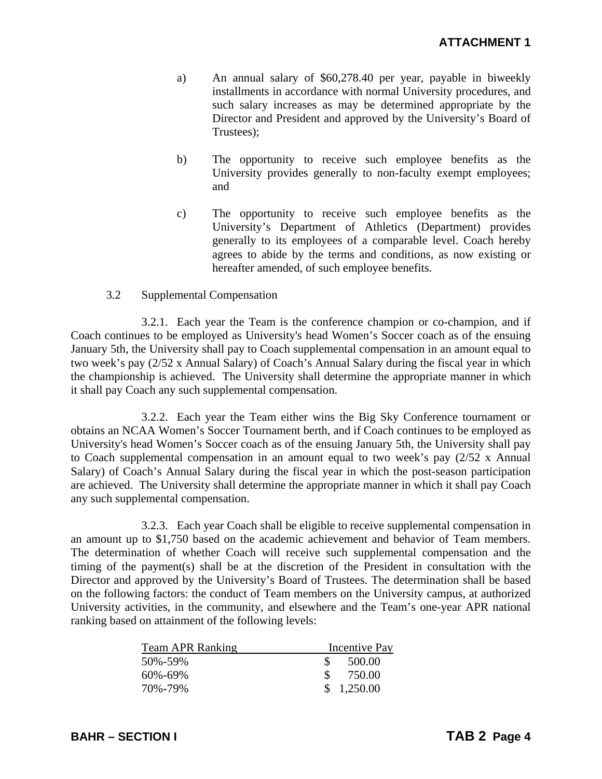- a) An annual salary of \$60,278.40 per year, payable in biweekly installments in accordance with normal University procedures, and such salary increases as may be determined appropriate by the Director and President and approved by the University's Board of Trustees);
- b) The opportunity to receive such employee benefits as the University provides generally to non-faculty exempt employees; and
- c) The opportunity to receive such employee benefits as the University's Department of Athletics (Department) provides generally to its employees of a comparable level. Coach hereby agrees to abide by the terms and conditions, as now existing or hereafter amended, of such employee benefits.

#### 3.2 Supplemental Compensation

3.2.1. Each year the Team is the conference champion or co-champion, and if Coach continues to be employed as University's head Women's Soccer coach as of the ensuing January 5th, the University shall pay to Coach supplemental compensation in an amount equal to two week's pay (2/52 x Annual Salary) of Coach's Annual Salary during the fiscal year in which the championship is achieved. The University shall determine the appropriate manner in which it shall pay Coach any such supplemental compensation.

3.2.2. Each year the Team either wins the Big Sky Conference tournament or obtains an NCAA Women's Soccer Tournament berth, and if Coach continues to be employed as University's head Women's Soccer coach as of the ensuing January 5th, the University shall pay to Coach supplemental compensation in an amount equal to two week's pay (2/52 x Annual Salary) of Coach's Annual Salary during the fiscal year in which the post-season participation are achieved. The University shall determine the appropriate manner in which it shall pay Coach any such supplemental compensation.

3.2.3. Each year Coach shall be eligible to receive supplemental compensation in an amount up to \$1,750 based on the academic achievement and behavior of Team members. The determination of whether Coach will receive such supplemental compensation and the timing of the payment(s) shall be at the discretion of the President in consultation with the Director and approved by the University's Board of Trustees. The determination shall be based on the following factors: the conduct of Team members on the University campus, at authorized University activities, in the community, and elsewhere and the Team's one-year APR national ranking based on attainment of the following levels:

| Team APR Ranking | Incentive Pay |
|------------------|---------------|
| 50%-59%          | 500.00        |
| 60%-69%          | 750.00        |
| 70%-79%          | \$1,250.00    |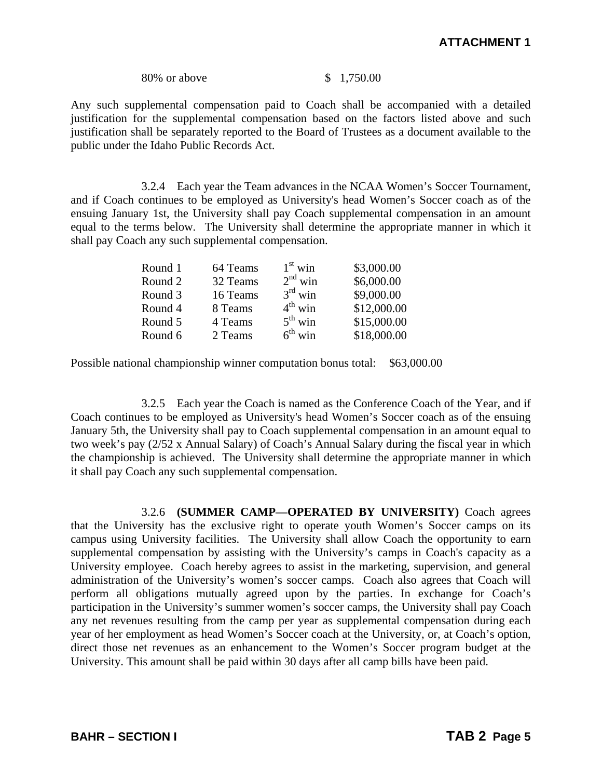80% or above \$ 1,750.00

Any such supplemental compensation paid to Coach shall be accompanied with a detailed justification for the supplemental compensation based on the factors listed above and such justification shall be separately reported to the Board of Trustees as a document available to the public under the Idaho Public Records Act.

3.2.4 Each year the Team advances in the NCAA Women's Soccer Tournament, and if Coach continues to be employed as University's head Women's Soccer coach as of the ensuing January 1st, the University shall pay Coach supplemental compensation in an amount equal to the terms below. The University shall determine the appropriate manner in which it shall pay Coach any such supplemental compensation.

| Round 1 | 64 Teams | $1st$ win    | \$3,000.00  |
|---------|----------|--------------|-------------|
| Round 2 | 32 Teams | $2nd$ win    | \$6,000.00  |
| Round 3 | 16 Teams | $3rd$ win    | \$9,000.00  |
| Round 4 | 8 Teams  | $4^{th}$ win | \$12,000.00 |
| Round 5 | 4 Teams  | $5^{th}$ win | \$15,000.00 |
| Round 6 | 2 Teams  | $6^{th}$ win | \$18,000.00 |

Possible national championship winner computation bonus total: \$63,000.00

3.2.5 Each year the Coach is named as the Conference Coach of the Year, and if Coach continues to be employed as University's head Women's Soccer coach as of the ensuing January 5th, the University shall pay to Coach supplemental compensation in an amount equal to two week's pay (2/52 x Annual Salary) of Coach's Annual Salary during the fiscal year in which the championship is achieved. The University shall determine the appropriate manner in which it shall pay Coach any such supplemental compensation.

 3.2.6 **(SUMMER CAMP—OPERATED BY UNIVERSITY)** Coach agrees that the University has the exclusive right to operate youth Women's Soccer camps on its campus using University facilities. The University shall allow Coach the opportunity to earn supplemental compensation by assisting with the University's camps in Coach's capacity as a University employee. Coach hereby agrees to assist in the marketing, supervision, and general administration of the University's women's soccer camps. Coach also agrees that Coach will perform all obligations mutually agreed upon by the parties. In exchange for Coach's participation in the University's summer women's soccer camps, the University shall pay Coach any net revenues resulting from the camp per year as supplemental compensation during each year of her employment as head Women's Soccer coach at the University, or, at Coach's option, direct those net revenues as an enhancement to the Women's Soccer program budget at the University. This amount shall be paid within 30 days after all camp bills have been paid.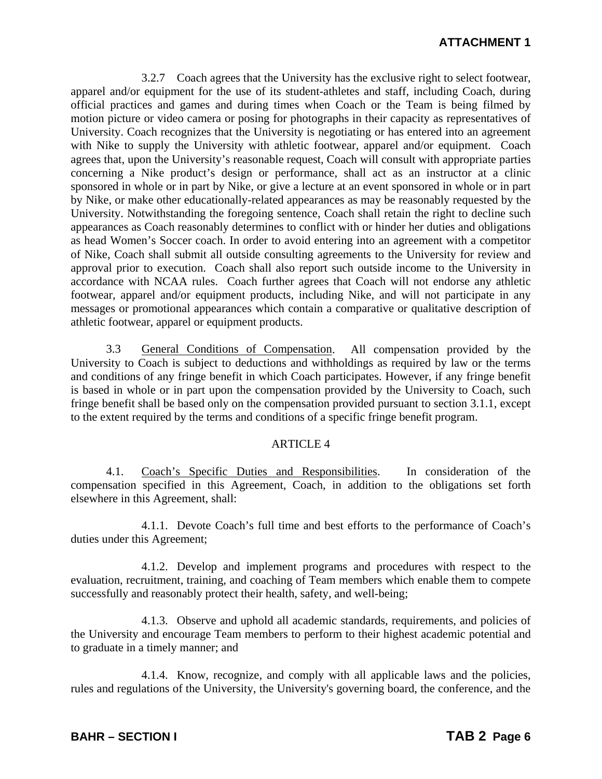3.2.7 Coach agrees that the University has the exclusive right to select footwear, apparel and/or equipment for the use of its student-athletes and staff, including Coach, during official practices and games and during times when Coach or the Team is being filmed by motion picture or video camera or posing for photographs in their capacity as representatives of University. Coach recognizes that the University is negotiating or has entered into an agreement with Nike to supply the University with athletic footwear, apparel and/or equipment. Coach agrees that, upon the University's reasonable request, Coach will consult with appropriate parties concerning a Nike product's design or performance, shall act as an instructor at a clinic sponsored in whole or in part by Nike, or give a lecture at an event sponsored in whole or in part by Nike, or make other educationally-related appearances as may be reasonably requested by the University. Notwithstanding the foregoing sentence, Coach shall retain the right to decline such appearances as Coach reasonably determines to conflict with or hinder her duties and obligations as head Women's Soccer coach. In order to avoid entering into an agreement with a competitor of Nike, Coach shall submit all outside consulting agreements to the University for review and approval prior to execution. Coach shall also report such outside income to the University in accordance with NCAA rules. Coach further agrees that Coach will not endorse any athletic footwear, apparel and/or equipment products, including Nike, and will not participate in any messages or promotional appearances which contain a comparative or qualitative description of athletic footwear, apparel or equipment products.

3.3 General Conditions of Compensation. All compensation provided by the University to Coach is subject to deductions and withholdings as required by law or the terms and conditions of any fringe benefit in which Coach participates. However, if any fringe benefit is based in whole or in part upon the compensation provided by the University to Coach, such fringe benefit shall be based only on the compensation provided pursuant to section 3.1.1, except to the extent required by the terms and conditions of a specific fringe benefit program.

## ARTICLE 4

4.1. Coach's Specific Duties and Responsibilities. In consideration of the compensation specified in this Agreement, Coach, in addition to the obligations set forth elsewhere in this Agreement, shall:

4.1.1. Devote Coach's full time and best efforts to the performance of Coach's duties under this Agreement;

4.1.2. Develop and implement programs and procedures with respect to the evaluation, recruitment, training, and coaching of Team members which enable them to compete successfully and reasonably protect their health, safety, and well-being;

4.1.3. Observe and uphold all academic standards, requirements, and policies of the University and encourage Team members to perform to their highest academic potential and to graduate in a timely manner; and

4.1.4. Know, recognize, and comply with all applicable laws and the policies, rules and regulations of the University, the University's governing board, the conference, and the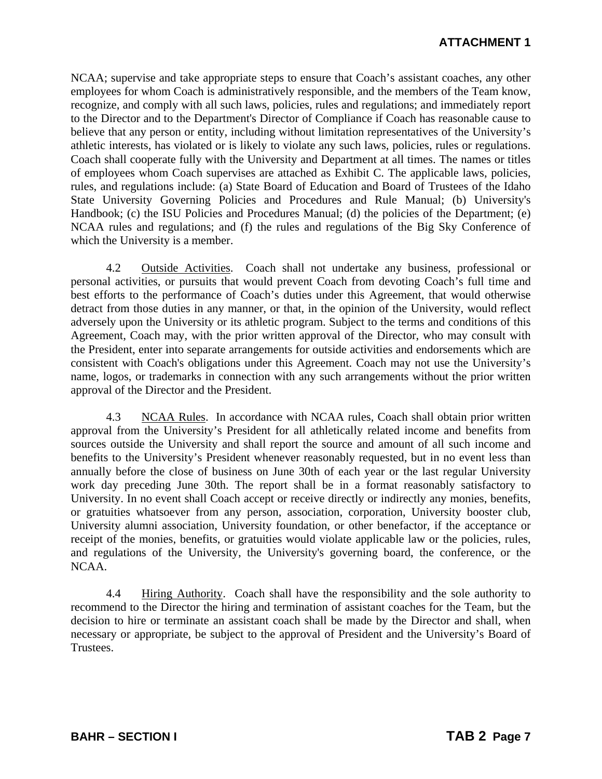NCAA; supervise and take appropriate steps to ensure that Coach's assistant coaches, any other employees for whom Coach is administratively responsible, and the members of the Team know, recognize, and comply with all such laws, policies, rules and regulations; and immediately report to the Director and to the Department's Director of Compliance if Coach has reasonable cause to believe that any person or entity, including without limitation representatives of the University's athletic interests, has violated or is likely to violate any such laws, policies, rules or regulations. Coach shall cooperate fully with the University and Department at all times. The names or titles of employees whom Coach supervises are attached as Exhibit C. The applicable laws, policies, rules, and regulations include: (a) State Board of Education and Board of Trustees of the Idaho State University Governing Policies and Procedures and Rule Manual; (b) University's Handbook; (c) the ISU Policies and Procedures Manual; (d) the policies of the Department; (e) NCAA rules and regulations; and (f) the rules and regulations of the Big Sky Conference of which the University is a member.

4.2 Outside Activities. Coach shall not undertake any business, professional or personal activities, or pursuits that would prevent Coach from devoting Coach's full time and best efforts to the performance of Coach's duties under this Agreement, that would otherwise detract from those duties in any manner, or that, in the opinion of the University, would reflect adversely upon the University or its athletic program. Subject to the terms and conditions of this Agreement, Coach may, with the prior written approval of the Director, who may consult with the President, enter into separate arrangements for outside activities and endorsements which are consistent with Coach's obligations under this Agreement. Coach may not use the University's name, logos, or trademarks in connection with any such arrangements without the prior written approval of the Director and the President.

4.3 NCAA Rules. In accordance with NCAA rules, Coach shall obtain prior written approval from the University's President for all athletically related income and benefits from sources outside the University and shall report the source and amount of all such income and benefits to the University's President whenever reasonably requested, but in no event less than annually before the close of business on June 30th of each year or the last regular University work day preceding June 30th. The report shall be in a format reasonably satisfactory to University. In no event shall Coach accept or receive directly or indirectly any monies, benefits, or gratuities whatsoever from any person, association, corporation, University booster club, University alumni association, University foundation, or other benefactor, if the acceptance or receipt of the monies, benefits, or gratuities would violate applicable law or the policies, rules, and regulations of the University, the University's governing board, the conference, or the NCAA.

4.4 Hiring Authority. Coach shall have the responsibility and the sole authority to recommend to the Director the hiring and termination of assistant coaches for the Team, but the decision to hire or terminate an assistant coach shall be made by the Director and shall, when necessary or appropriate, be subject to the approval of President and the University's Board of Trustees.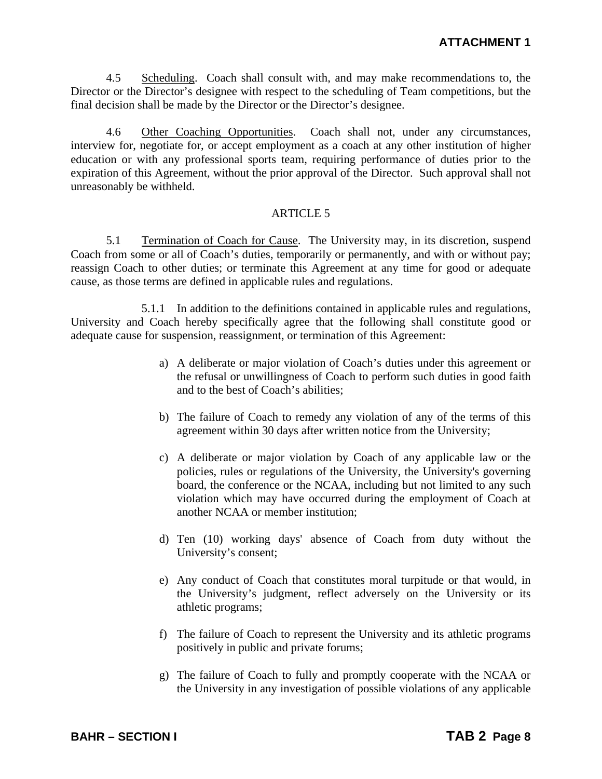4.5 Scheduling. Coach shall consult with, and may make recommendations to, the Director or the Director's designee with respect to the scheduling of Team competitions, but the final decision shall be made by the Director or the Director's designee.

4.6 Other Coaching Opportunities. Coach shall not, under any circumstances, interview for, negotiate for, or accept employment as a coach at any other institution of higher education or with any professional sports team, requiring performance of duties prior to the expiration of this Agreement, without the prior approval of the Director. Such approval shall not unreasonably be withheld.

## ARTICLE 5

5.1 Termination of Coach for Cause. The University may, in its discretion, suspend Coach from some or all of Coach's duties, temporarily or permanently, and with or without pay; reassign Coach to other duties; or terminate this Agreement at any time for good or adequate cause, as those terms are defined in applicable rules and regulations.

5.1.1 In addition to the definitions contained in applicable rules and regulations, University and Coach hereby specifically agree that the following shall constitute good or adequate cause for suspension, reassignment, or termination of this Agreement:

- a) A deliberate or major violation of Coach's duties under this agreement or the refusal or unwillingness of Coach to perform such duties in good faith and to the best of Coach's abilities;
- b) The failure of Coach to remedy any violation of any of the terms of this agreement within 30 days after written notice from the University;
- c) A deliberate or major violation by Coach of any applicable law or the policies, rules or regulations of the University, the University's governing board, the conference or the NCAA, including but not limited to any such violation which may have occurred during the employment of Coach at another NCAA or member institution;
- d) Ten (10) working days' absence of Coach from duty without the University's consent;
- e) Any conduct of Coach that constitutes moral turpitude or that would, in the University's judgment, reflect adversely on the University or its athletic programs;
- f) The failure of Coach to represent the University and its athletic programs positively in public and private forums;
- g) The failure of Coach to fully and promptly cooperate with the NCAA or the University in any investigation of possible violations of any applicable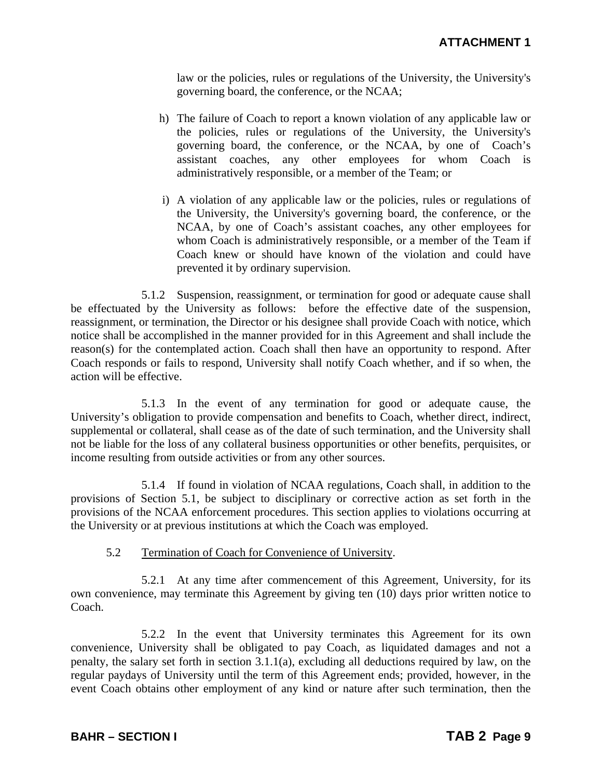law or the policies, rules or regulations of the University, the University's governing board, the conference, or the NCAA;

- h) The failure of Coach to report a known violation of any applicable law or the policies, rules or regulations of the University, the University's governing board, the conference, or the NCAA, by one of Coach's assistant coaches, any other employees for whom Coach is administratively responsible, or a member of the Team; or
- i) A violation of any applicable law or the policies, rules or regulations of the University, the University's governing board, the conference, or the NCAA, by one of Coach's assistant coaches, any other employees for whom Coach is administratively responsible, or a member of the Team if Coach knew or should have known of the violation and could have prevented it by ordinary supervision.

5.1.2 Suspension, reassignment, or termination for good or adequate cause shall be effectuated by the University as follows: before the effective date of the suspension, reassignment, or termination, the Director or his designee shall provide Coach with notice, which notice shall be accomplished in the manner provided for in this Agreement and shall include the reason(s) for the contemplated action. Coach shall then have an opportunity to respond. After Coach responds or fails to respond, University shall notify Coach whether, and if so when, the action will be effective.

5.1.3 In the event of any termination for good or adequate cause, the University's obligation to provide compensation and benefits to Coach, whether direct, indirect, supplemental or collateral, shall cease as of the date of such termination, and the University shall not be liable for the loss of any collateral business opportunities or other benefits, perquisites, or income resulting from outside activities or from any other sources.

5.1.4 If found in violation of NCAA regulations, Coach shall, in addition to the provisions of Section 5.1, be subject to disciplinary or corrective action as set forth in the provisions of the NCAA enforcement procedures. This section applies to violations occurring at the University or at previous institutions at which the Coach was employed.

5.2 Termination of Coach for Convenience of University.

5.2.1 At any time after commencement of this Agreement, University, for its own convenience, may terminate this Agreement by giving ten (10) days prior written notice to Coach.

5.2.2 In the event that University terminates this Agreement for its own convenience, University shall be obligated to pay Coach, as liquidated damages and not a penalty, the salary set forth in section 3.1.1(a), excluding all deductions required by law, on the regular paydays of University until the term of this Agreement ends; provided, however, in the event Coach obtains other employment of any kind or nature after such termination, then the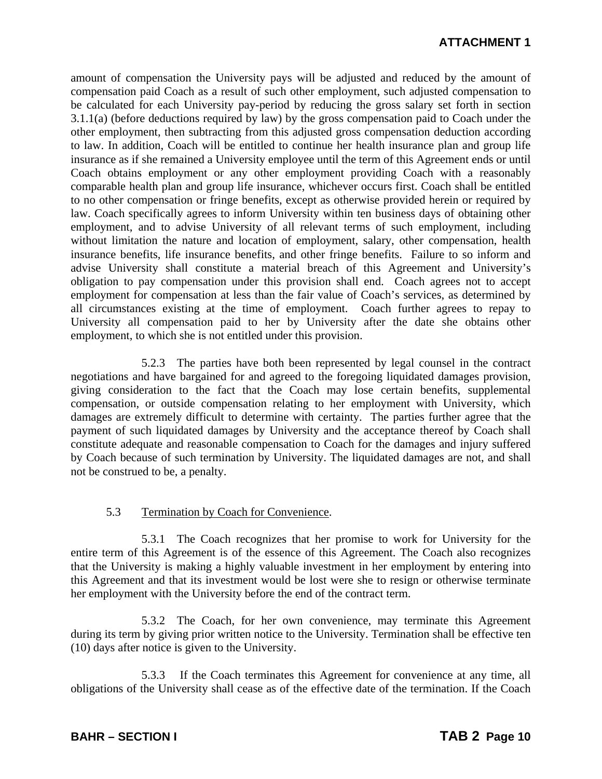## **ATTACHMENT 1**

amount of compensation the University pays will be adjusted and reduced by the amount of compensation paid Coach as a result of such other employment, such adjusted compensation to be calculated for each University pay-period by reducing the gross salary set forth in section 3.1.1(a) (before deductions required by law) by the gross compensation paid to Coach under the other employment, then subtracting from this adjusted gross compensation deduction according to law. In addition, Coach will be entitled to continue her health insurance plan and group life insurance as if she remained a University employee until the term of this Agreement ends or until Coach obtains employment or any other employment providing Coach with a reasonably comparable health plan and group life insurance, whichever occurs first. Coach shall be entitled to no other compensation or fringe benefits, except as otherwise provided herein or required by law. Coach specifically agrees to inform University within ten business days of obtaining other employment, and to advise University of all relevant terms of such employment, including without limitation the nature and location of employment, salary, other compensation, health insurance benefits, life insurance benefits, and other fringe benefits. Failure to so inform and advise University shall constitute a material breach of this Agreement and University's obligation to pay compensation under this provision shall end. Coach agrees not to accept employment for compensation at less than the fair value of Coach's services, as determined by all circumstances existing at the time of employment. Coach further agrees to repay to University all compensation paid to her by University after the date she obtains other employment, to which she is not entitled under this provision.

5.2.3 The parties have both been represented by legal counsel in the contract negotiations and have bargained for and agreed to the foregoing liquidated damages provision, giving consideration to the fact that the Coach may lose certain benefits, supplemental compensation, or outside compensation relating to her employment with University, which damages are extremely difficult to determine with certainty. The parties further agree that the payment of such liquidated damages by University and the acceptance thereof by Coach shall constitute adequate and reasonable compensation to Coach for the damages and injury suffered by Coach because of such termination by University. The liquidated damages are not, and shall not be construed to be, a penalty.

#### 5.3 Termination by Coach for Convenience.

 5.3.1 The Coach recognizes that her promise to work for University for the entire term of this Agreement is of the essence of this Agreement. The Coach also recognizes that the University is making a highly valuable investment in her employment by entering into this Agreement and that its investment would be lost were she to resign or otherwise terminate her employment with the University before the end of the contract term.

 5.3.2 The Coach, for her own convenience, may terminate this Agreement during its term by giving prior written notice to the University. Termination shall be effective ten (10) days after notice is given to the University.

 5.3.3 If the Coach terminates this Agreement for convenience at any time, all obligations of the University shall cease as of the effective date of the termination. If the Coach

### **BAHR – SECTION I CONSUMING TAB 2 Page 10**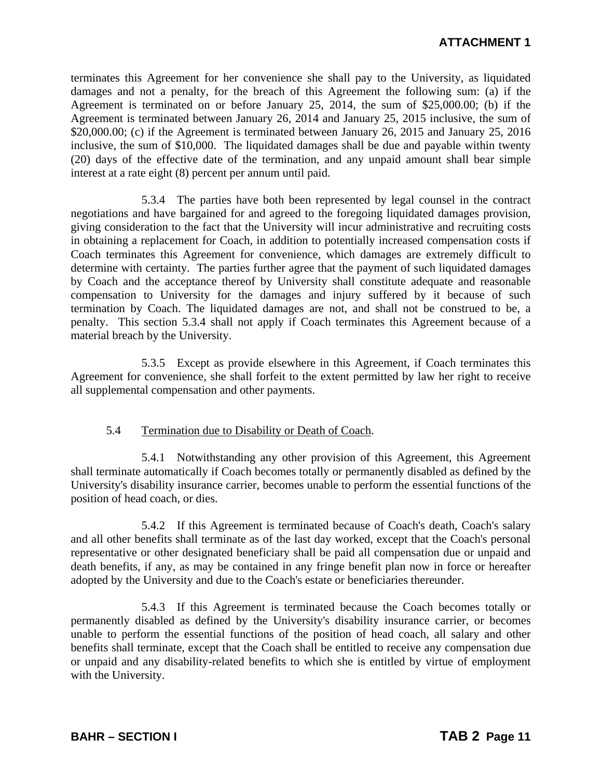terminates this Agreement for her convenience she shall pay to the University, as liquidated damages and not a penalty, for the breach of this Agreement the following sum: (a) if the Agreement is terminated on or before January 25, 2014, the sum of \$25,000.00; (b) if the Agreement is terminated between January 26, 2014 and January 25, 2015 inclusive, the sum of \$20,000.00; (c) if the Agreement is terminated between January 26, 2015 and January 25, 2016 inclusive, the sum of \$10,000. The liquidated damages shall be due and payable within twenty (20) days of the effective date of the termination, and any unpaid amount shall bear simple interest at a rate eight (8) percent per annum until paid.

 5.3.4 The parties have both been represented by legal counsel in the contract negotiations and have bargained for and agreed to the foregoing liquidated damages provision, giving consideration to the fact that the University will incur administrative and recruiting costs in obtaining a replacement for Coach, in addition to potentially increased compensation costs if Coach terminates this Agreement for convenience, which damages are extremely difficult to determine with certainty. The parties further agree that the payment of such liquidated damages by Coach and the acceptance thereof by University shall constitute adequate and reasonable compensation to University for the damages and injury suffered by it because of such termination by Coach. The liquidated damages are not, and shall not be construed to be, a penalty. This section 5.3.4 shall not apply if Coach terminates this Agreement because of a material breach by the University.

 5.3.5 Except as provide elsewhere in this Agreement, if Coach terminates this Agreement for convenience, she shall forfeit to the extent permitted by law her right to receive all supplemental compensation and other payments.

## 5.4 Termination due to Disability or Death of Coach.

5.4.1 Notwithstanding any other provision of this Agreement, this Agreement shall terminate automatically if Coach becomes totally or permanently disabled as defined by the University's disability insurance carrier, becomes unable to perform the essential functions of the position of head coach, or dies.

5.4.2 If this Agreement is terminated because of Coach's death, Coach's salary and all other benefits shall terminate as of the last day worked, except that the Coach's personal representative or other designated beneficiary shall be paid all compensation due or unpaid and death benefits, if any, as may be contained in any fringe benefit plan now in force or hereafter adopted by the University and due to the Coach's estate or beneficiaries thereunder.

5.4.3 If this Agreement is terminated because the Coach becomes totally or permanently disabled as defined by the University's disability insurance carrier, or becomes unable to perform the essential functions of the position of head coach, all salary and other benefits shall terminate, except that the Coach shall be entitled to receive any compensation due or unpaid and any disability-related benefits to which she is entitled by virtue of employment with the University.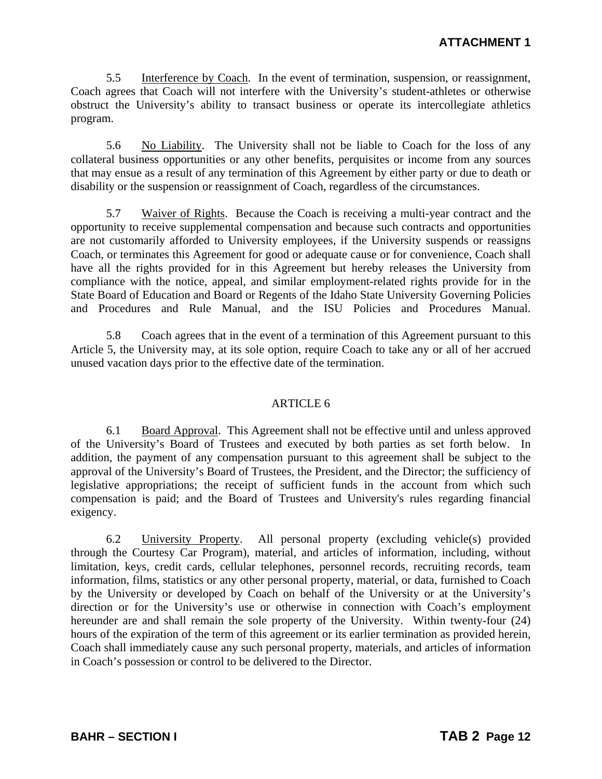5.5 Interference by Coach. In the event of termination, suspension, or reassignment, Coach agrees that Coach will not interfere with the University's student-athletes or otherwise obstruct the University's ability to transact business or operate its intercollegiate athletics program.

5.6 No Liability. The University shall not be liable to Coach for the loss of any collateral business opportunities or any other benefits, perquisites or income from any sources that may ensue as a result of any termination of this Agreement by either party or due to death or disability or the suspension or reassignment of Coach, regardless of the circumstances.

5.7 Waiver of Rights. Because the Coach is receiving a multi-year contract and the opportunity to receive supplemental compensation and because such contracts and opportunities are not customarily afforded to University employees, if the University suspends or reassigns Coach, or terminates this Agreement for good or adequate cause or for convenience, Coach shall have all the rights provided for in this Agreement but hereby releases the University from compliance with the notice, appeal, and similar employment-related rights provide for in the State Board of Education and Board or Regents of the Idaho State University Governing Policies and Procedures and Rule Manual, and the ISU Policies and Procedures Manual.

5.8 Coach agrees that in the event of a termination of this Agreement pursuant to this Article 5, the University may, at its sole option, require Coach to take any or all of her accrued unused vacation days prior to the effective date of the termination.

## ARTICLE 6

6.1 Board Approval. This Agreement shall not be effective until and unless approved of the University's Board of Trustees and executed by both parties as set forth below. In addition, the payment of any compensation pursuant to this agreement shall be subject to the approval of the University's Board of Trustees, the President, and the Director; the sufficiency of legislative appropriations; the receipt of sufficient funds in the account from which such compensation is paid; and the Board of Trustees and University's rules regarding financial exigency.

6.2 University Property. All personal property (excluding vehicle(s) provided through the Courtesy Car Program), material, and articles of information, including, without limitation, keys, credit cards, cellular telephones, personnel records, recruiting records, team information, films, statistics or any other personal property, material, or data, furnished to Coach by the University or developed by Coach on behalf of the University or at the University's direction or for the University's use or otherwise in connection with Coach's employment hereunder are and shall remain the sole property of the University. Within twenty-four (24) hours of the expiration of the term of this agreement or its earlier termination as provided herein, Coach shall immediately cause any such personal property, materials, and articles of information in Coach's possession or control to be delivered to the Director.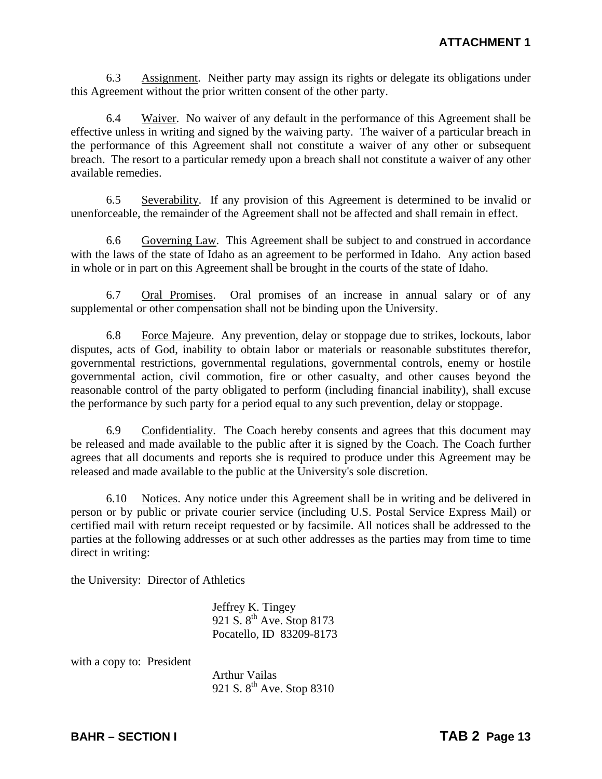6.3 Assignment. Neither party may assign its rights or delegate its obligations under this Agreement without the prior written consent of the other party.

6.4 Waiver. No waiver of any default in the performance of this Agreement shall be effective unless in writing and signed by the waiving party. The waiver of a particular breach in the performance of this Agreement shall not constitute a waiver of any other or subsequent breach. The resort to a particular remedy upon a breach shall not constitute a waiver of any other available remedies.

6.5 Severability. If any provision of this Agreement is determined to be invalid or unenforceable, the remainder of the Agreement shall not be affected and shall remain in effect.

6.6 Governing Law. This Agreement shall be subject to and construed in accordance with the laws of the state of Idaho as an agreement to be performed in Idaho. Any action based in whole or in part on this Agreement shall be brought in the courts of the state of Idaho.

6.7 Oral Promises. Oral promises of an increase in annual salary or of any supplemental or other compensation shall not be binding upon the University.

6.8 Force Majeure. Any prevention, delay or stoppage due to strikes, lockouts, labor disputes, acts of God, inability to obtain labor or materials or reasonable substitutes therefor, governmental restrictions, governmental regulations, governmental controls, enemy or hostile governmental action, civil commotion, fire or other casualty, and other causes beyond the reasonable control of the party obligated to perform (including financial inability), shall excuse the performance by such party for a period equal to any such prevention, delay or stoppage.

6.9 Confidentiality. The Coach hereby consents and agrees that this document may be released and made available to the public after it is signed by the Coach. The Coach further agrees that all documents and reports she is required to produce under this Agreement may be released and made available to the public at the University's sole discretion.

6.10 Notices. Any notice under this Agreement shall be in writing and be delivered in person or by public or private courier service (including U.S. Postal Service Express Mail) or certified mail with return receipt requested or by facsimile. All notices shall be addressed to the parties at the following addresses or at such other addresses as the parties may from time to time direct in writing:

the University: Director of Athletics

 Jeffrey K. Tingey 921 S. 8<sup>th</sup> Ave. Stop 8173 Pocatello, ID 83209-8173

with a copy to: President

 Arthur Vailas 921 S. 8<sup>th</sup> Ave. Stop 8310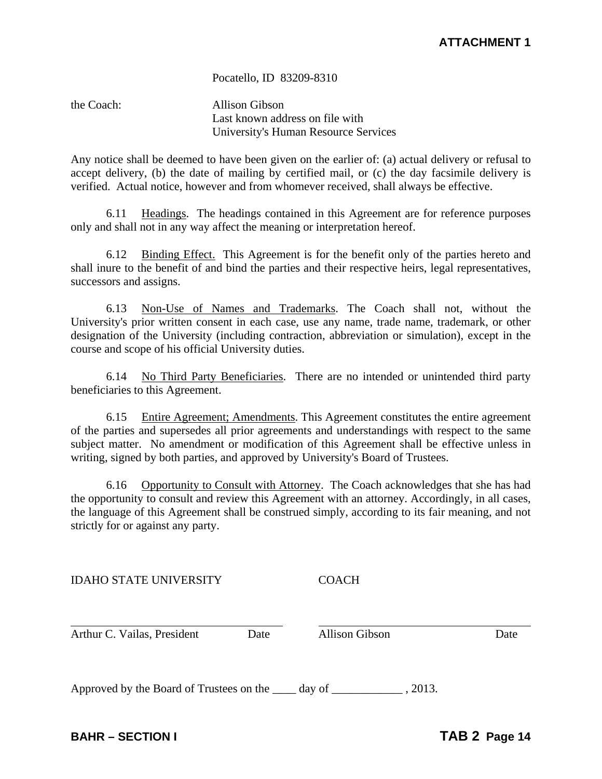Pocatello, ID 83209-8310

the Coach: Allison Gibson Last known address on file with University's Human Resource Services

Any notice shall be deemed to have been given on the earlier of: (a) actual delivery or refusal to accept delivery, (b) the date of mailing by certified mail, or (c) the day facsimile delivery is verified. Actual notice, however and from whomever received, shall always be effective.

 6.11 Headings. The headings contained in this Agreement are for reference purposes only and shall not in any way affect the meaning or interpretation hereof.

 6.12 Binding Effect. This Agreement is for the benefit only of the parties hereto and shall inure to the benefit of and bind the parties and their respective heirs, legal representatives, successors and assigns.

 6.13 Non-Use of Names and Trademarks. The Coach shall not, without the University's prior written consent in each case, use any name, trade name, trademark, or other designation of the University (including contraction, abbreviation or simulation), except in the course and scope of his official University duties.

 6.14 No Third Party Beneficiaries. There are no intended or unintended third party beneficiaries to this Agreement.

6.15 Entire Agreement; Amendments. This Agreement constitutes the entire agreement of the parties and supersedes all prior agreements and understandings with respect to the same subject matter. No amendment or modification of this Agreement shall be effective unless in writing, signed by both parties, and approved by University's Board of Trustees.

6.16 Opportunity to Consult with Attorney. The Coach acknowledges that she has had the opportunity to consult and review this Agreement with an attorney. Accordingly, in all cases, the language of this Agreement shall be construed simply, according to its fair meaning, and not strictly for or against any party.

IDAHO STATE UNIVERSITY COACH

Arthur C. Vailas, President Date Allison Gibson Date

 $\overline{a}$ 

Approved by the Board of Trustees on the \_\_\_\_ day of \_\_\_\_\_\_\_\_\_\_\_\_\_\_\_, 2013.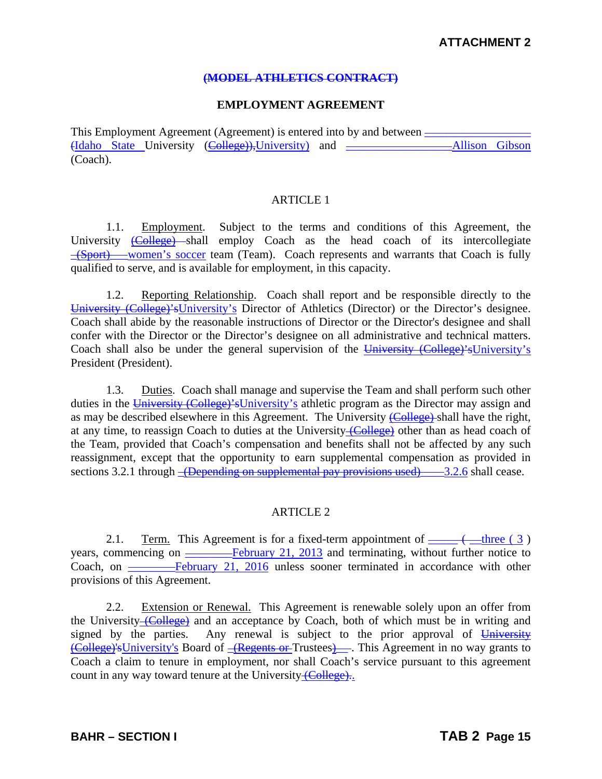## **(MODEL ATHLETICS CONTRACT)**

## **EMPLOYMENT AGREEMENT**

This Employment Agreement (Agreement) is entered into by and between —— (Idaho State University (College)),University) and \_\_\_\_\_\_\_\_\_\_\_\_\_\_\_\_\_\_Allison Gibson (Coach).

### ARTICLE 1

1.1. Employment. Subject to the terms and conditions of this Agreement, the University (College) shall employ Coach as the head coach of its intercollegiate  $\frac{(-Sport)}{Sport}$  women's soccer team (Team). Coach represents and warrants that Coach is fully qualified to serve, and is available for employment, in this capacity.

1.2. Reporting Relationship. Coach shall report and be responsible directly to the University (College)'sUniversity's Director of Athletics (Director) or the Director's designee. Coach shall abide by the reasonable instructions of Director or the Director's designee and shall confer with the Director or the Director's designee on all administrative and technical matters. Coach shall also be under the general supervision of the University (College)'sUniversity's President (President).

1.3. Duties. Coach shall manage and supervise the Team and shall perform such other duties in the University (College)'s University's athletic program as the Director may assign and as may be described elsewhere in this Agreement. The University (College) shall have the right, at any time, to reassign Coach to duties at the University (College) other than as head coach of the Team, provided that Coach's compensation and benefits shall not be affected by any such reassignment, except that the opportunity to earn supplemental compensation as provided in sections 3.2.1 through  $\overline{-}$  (Depending on supplemental pay provisions used)  $\overline{-}3.2.6$  shall cease.

## ARTICLE 2

2.1. Term. This Agreement is for a fixed-term appointment of  $\frac{1}{\sqrt{1-\frac{1}{\sqrt{1-\frac{1}{\sqrt{1-\frac{1}{\sqrt{1-\frac{1}{\sqrt{1-\frac{1}{\sqrt{1-\frac{1}{\sqrt{1-\frac{1}{\sqrt{1-\frac{1}{\sqrt{1-\frac{1}{\sqrt{1-\frac{1}{\sqrt{1-\frac{1}{\sqrt{1-\frac{1}{\sqrt{1-\frac{1}{\sqrt{1-\frac{1}{\sqrt{1-\frac{1}{\sqrt{1-\frac{1}{\sqrt{1-\frac{1}{\$ years, commencing on \_\_\_\_\_\_\_\_February 21, 2013 and terminating, without further notice to Coach, on \_\_\_\_\_\_\_\_February 21, 2016 unless sooner terminated in accordance with other provisions of this Agreement.

2.2. Extension or Renewal. This Agreement is renewable solely upon an offer from the University (College) and an acceptance by Coach, both of which must be in writing and signed by the parties. Any renewal is subject to the prior approval of University (College)'sUniversity's Board of <del>(Regents or </del>Trustees). This Agreement in no way grants to Coach a claim to tenure in employment, nor shall Coach's service pursuant to this agreement count in any way toward tenure at the University (College)...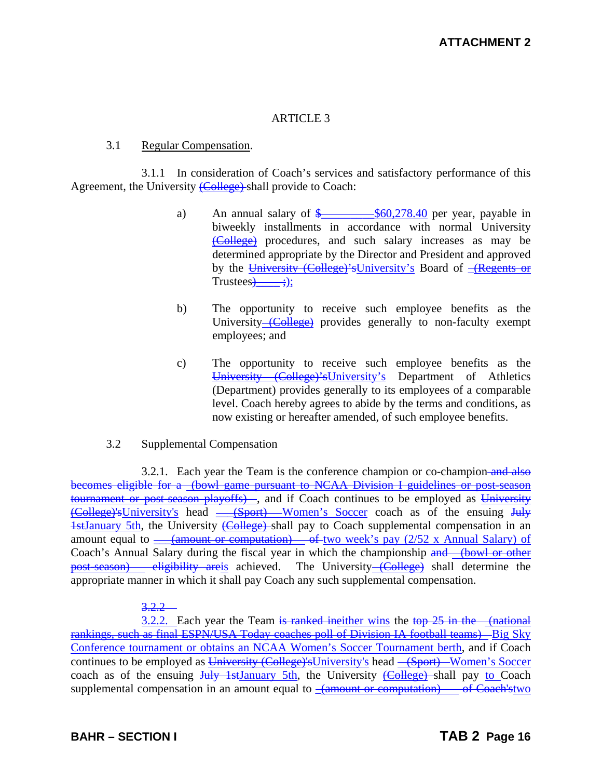## ARTICLE 3

### 3.1 Regular Compensation.

3.1.1 In consideration of Coach's services and satisfactory performance of this Agreement, the University (College) shall provide to Coach:

- a) An annual salary of  $\frac{$(0.278.40 \text{ per year, payable in}]}{2}$ biweekly installments in accordance with normal University (College) procedures, and such salary increases as may be determined appropriate by the Director and President and approved by the University (College)'sUniversity's Board of <del>(Regents or</del> Trustees $)$  ;
- b) The opportunity to receive such employee benefits as the University-(College) provides generally to non-faculty exempt employees; and
- c) The opportunity to receive such employee benefits as the University (College)'sUniversity's Department of Athletics (Department) provides generally to its employees of a comparable level. Coach hereby agrees to abide by the terms and conditions, as now existing or hereafter amended, of such employee benefits.
- 3.2 Supplemental Compensation

3.2.1. Each year the Team is the conference champion or co-champion and also becomes eligible for a (bowl game pursuant to NCAA Division I guidelines or post-season tournament or post-season playoffs), and if Coach continues to be employed as University (College)'sUniversity's head <u>(Sport)</u> Women's Soccer coach as of the ensuing July 1stJanuary 5th, the University (College) shall pay to Coach supplemental compensation in an amount equal to  $\frac{1}{\sqrt{2\pi}} \frac{1}{\sqrt{2\pi}} \frac{1}{\sqrt{2\pi}}$  of two week's pay (2/52 x Annual Salary) of Coach's Annual Salary during the fiscal year in which the championship and (bowl or other post-season) eligibility areis achieved. The University (College) shall determine the appropriate manner in which it shall pay Coach any such supplemental compensation.

# $3.2.2$

 $3.2.2$ . Each year the Team is ranked ineither wins the top  $25$  in the  $(national)$ rankings, such as final ESPN/USA Today coaches poll of Division IA football teams) - Big Sky Conference tournament or obtains an NCAA Women's Soccer Tournament berth, and if Coach continues to be employed as University (College)'sUniversity's head (Sport) Women's Soccer coach as of the ensuing July 1stJanuary 5th, the University (College) shall pay to Coach supplemental compensation in an amount equal to  $\frac{1}{2}$  (amount or computation) of Coach'stwo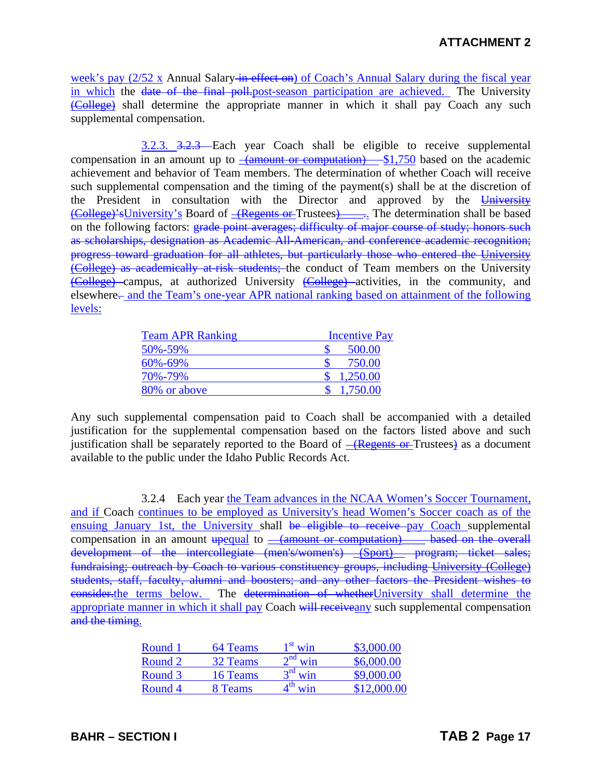week's pay  $(2/52 \times$  Annual Salary in effect on) of Coach's Annual Salary during the fiscal year in which the date of the final poll-post-season participation are achieved. The University (College) shall determine the appropriate manner in which it shall pay Coach any such supplemental compensation.

3.2.3. 3.2.3 Each year Coach shall be eligible to receive supplemental compensation in an amount up to  $\frac{4m_{\text{out}}}{2m_{\text{out}}}$  or  $\frac{6m_{\text{out}}}{2m_{\text{out}}}$  = \$1,750 based on the academic achievement and behavior of Team members. The determination of whether Coach will receive such supplemental compensation and the timing of the payment(s) shall be at the discretion of the President in consultation with the Director and approved by the University (College)'sUniversity's Board of \_(Regents or Trustees)\_\_\_\_.. The determination shall be based on the following factors: grade point averages; difficulty of major course of study; honors such as scholarships, designation as Academic All-American, and conference academic recognition; progress toward graduation for all athletes, but particularly those who entered the University (College) as academically at-risk students; the conduct of Team members on the University (College) campus, at authorized University (College) activities, in the community, and elsewhere. and the Team's one-year APR national ranking based on attainment of the following levels:

| <b>Team APR Ranking</b> | <b>Incentive Pay</b> |
|-------------------------|----------------------|
| 50%-59%                 | 500.00               |
| 60%-69%                 | 750.00               |
| 70%-79%                 | \$1,250.00           |
| 80% or above            | \$1,750.00           |

Any such supplemental compensation paid to Coach shall be accompanied with a detailed justification for the supplemental compensation based on the factors listed above and such justification shall be separately reported to the Board of  $\overline{Reeents}$  or Trustees) as a document available to the public under the Idaho Public Records Act.

3.2.4 Each year the Team advances in the NCAA Women's Soccer Tournament, and if Coach continues to be employed as University's head Women's Soccer coach as of the ensuing January 1st, the University shall be eligible to receive pay Coach supplemental compensation in an amount upequal to <u>(amount or computation)</u> based on the overall development of the intercollegiate (men's/women's) \_(Sport)\_\_ program; ticket sales; fundraising; outreach by Coach to various constituency groups, including University (College) students, staff, faculty, alumni and boosters; and any other factors the President wishes to consider.the terms below. The determination of whetherUniversity shall determine the appropriate manner in which it shall pay Coach will receiveany such supplemental compensation and the timing.

| Round 1 | 64 Teams | $1st$ win           | \$3,000.00  |
|---------|----------|---------------------|-------------|
| Round 2 | 32 Teams | $2nd$ win           | \$6,000.00  |
| Round 3 | 16 Teams | $3rd$ win           | \$9,000.00  |
| Round 4 | 8 Teams  | $4^{\text{th}}$ win | \$12,000.00 |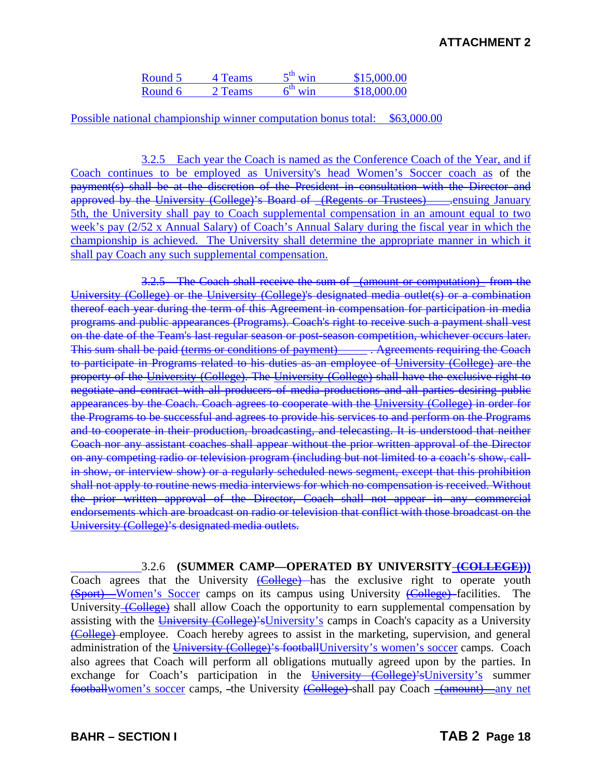| Round 5 | 4 Teams | $5^{th}$ win | \$15,000.00 |
|---------|---------|--------------|-------------|
| Round 6 | 2 Teams | $6th$ win    | \$18,000.00 |

#### Possible national championship winner computation bonus total: \$63,000.00

3.2.5 Each year the Coach is named as the Conference Coach of the Year, and if Coach continues to be employed as University's head Women's Soccer coach as of the payment(s) shall be at the discretion of the President in consultation with the Director and approved by the University (College)'s Board of (Regents or Trustees) ensuing January 5th, the University shall pay to Coach supplemental compensation in an amount equal to two week's pay (2/52 x Annual Salary) of Coach's Annual Salary during the fiscal year in which the championship is achieved. The University shall determine the appropriate manner in which it shall pay Coach any such supplemental compensation.

3.2.5 The Coach shall receive the sum of \_(amount or computation)\_ from the University (College) or the University (College)'s designated media outlet(s) or a combination thereof each year during the term of this Agreement in compensation for participation in media programs and public appearances (Programs). Coach's right to receive such a payment shall vest on the date of the Team's last regular season or post-season competition, whichever occurs later. This sum shall be paid (terms or conditions of payment)\_\_\_\_\_\_\_. Agreements requiring the Coach to participate in Programs related to his duties as an employee of University (College) are the property of the University (College). The University (College) shall have the exclusive right to negotiate and contract with all producers of media productions and all parties desiring public appearances by the Coach. Coach agrees to cooperate with the University (College) in order for the Programs to be successful and agrees to provide his services to and perform on the Programs and to cooperate in their production, broadcasting, and telecasting. It is understood that neither Coach nor any assistant coaches shall appear without the prior written approval of the Director on any competing radio or television program (including but not limited to a coach's show, callin show, or interview show) or a regularly scheduled news segment, except that this prohibition shall not apply to routine news media interviews for which no compensation is received. Without the prior written approval of the Director, Coach shall not appear in any commercial endorsements which are broadcast on radio or television that conflict with those broadcast on the University (College)'s designated media outlets.

 3.2.6 **(SUMMER CAMP—OPERATED BY UNIVERSITY (COLLEGE)))** Coach agrees that the University (College) has the exclusive right to operate youth (Sport)—Women's Soccer camps on its campus using University (College) facilities. The University (College) shall allow Coach the opportunity to earn supplemental compensation by assisting with the University (College)'sUniversity's camps in Coach's capacity as a University (College) employee. Coach hereby agrees to assist in the marketing, supervision, and general administration of the University (College)'s footballUniversity's women's soccer camps. Coach also agrees that Coach will perform all obligations mutually agreed upon by the parties. In exchange for Coach's participation in the University (College)'sUniversity's summer footballwomen's soccer camps, -the University (College) shall pay Coach  $\frac{1}{2}$  (amount) any net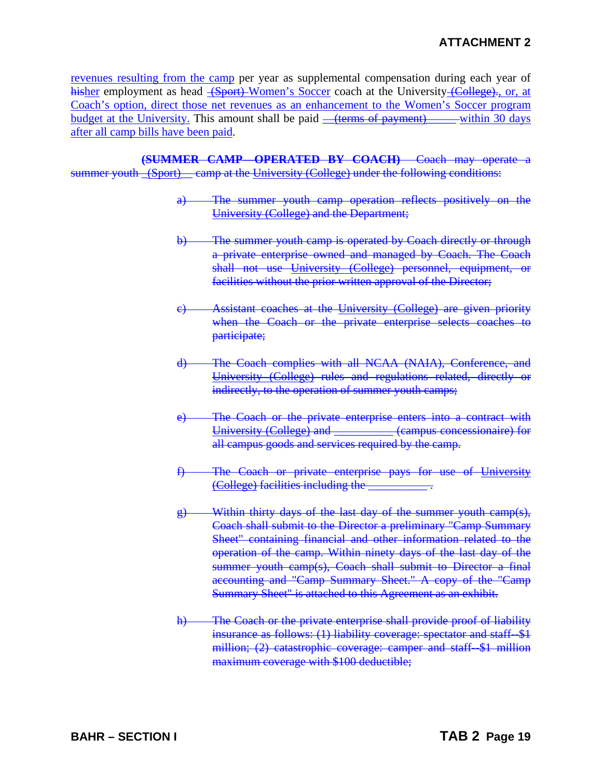revenues resulting from the camp per year as supplemental compensation during each year of hisher employment as head (Sport) Women's Soccer coach at the University (College)., or, at Coach's option, direct those net revenues as an enhancement to the Women's Soccer program budget at the University. This amount shall be paid  $\frac{+}{+}$  (terms of payment) within 30 days after all camp bills have been paid.

**(SUMMER CAMP—OPERATED BY COACH)** Coach may operate a summer youth (Sport) camp at the University (College) under the following conditions:

- a) The summer youth camp operation reflects positively on the University (College) and the Department;
- b) The summer youth camp is operated by Coach directly or through a private enterprise owned and managed by Coach. The Coach shall not use University (College) personnel, equipment, or facilities without the prior written approval of the Director;
- c) Assistant coaches at the University (College) are given priority when the Coach or the private enterprise selects coaches to participate;
- d) The Coach complies with all NCAA (NAIA), Conference, and University (College) rules and regulations related, directly or indirectly, to the operation of summer youth camps;
- e) The Coach or the private enterprise enters into a contract with University (College) and \_\_\_\_\_\_\_\_\_\_ (campus concessionaire) for all campus goods and services required by the camp.
- f) The Coach or private enterprise pays for use of University (College) facilities including the \_\_\_\_\_\_\_\_\_\_ .
- g) Within thirty days of the last day of the summer youth camp(s), Coach shall submit to the Director a preliminary "Camp Summary Sheet" containing financial and other information related to the operation of the camp. Within ninety days of the last day of the summer youth camp(s), Coach shall submit to Director a final accounting and "Camp Summary Sheet." A copy of the "Camp Summary Sheet" is attached to this Agreement as an exhibit.
- h) The Coach or the private enterprise shall provide proof of liability insurance as follows: (1) liability coverage: spectator and staff-\$1 million; (2) catastrophic coverage: camper and staff-\$1 million maximum coverage with \$100 deductible;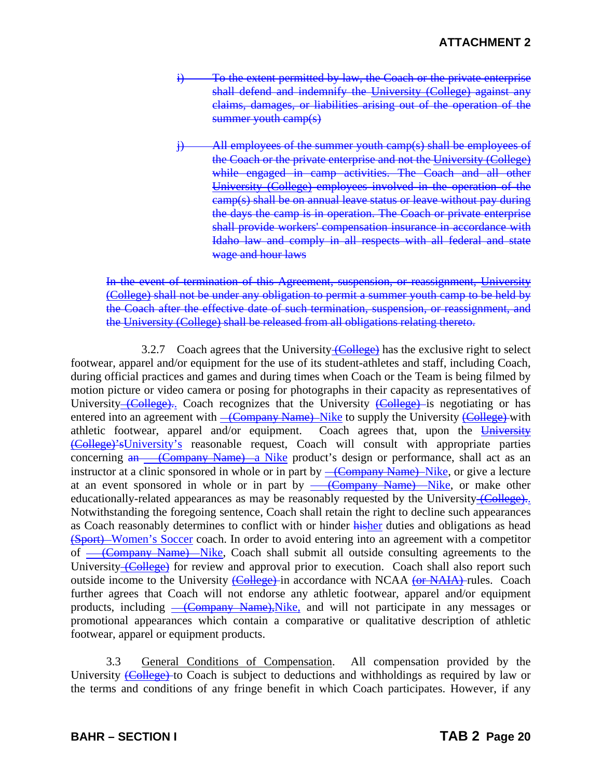- i) To the extent permitted by law, the Coach or the private enterprise shall defend and indemnify the University (College) against any claims, damages, or liabilities arising out of the operation of the summer youth camp(s)
- j) All employees of the summer youth camp(s) shall be employees of the Coach or the private enterprise and not the University (College) while engaged in camp activities. The Coach and all other University (College) employees involved in the operation of the camp(s) shall be on annual leave status or leave without pay during the days the camp is in operation. The Coach or private enterprise shall provide workers' compensation insurance in accordance with Idaho law and comply in all respects with all federal and state wage and hour laws

In the event of termination of this Agreement, suspension, or reassignment, University (College) shall not be under any obligation to permit a summer youth camp to be held by the Coach after the effective date of such termination, suspension, or reassignment, and the University (College) shall be released from all obligations relating thereto.

3.2.7 Coach agrees that the University (College) has the exclusive right to select footwear, apparel and/or equipment for the use of its student-athletes and staff, including Coach, during official practices and games and during times when Coach or the Team is being filmed by motion picture or video camera or posing for photographs in their capacity as representatives of University (College).. Coach recognizes that the University (College) is negotiating or has entered into an agreement with <del>(Company Name)</del> Nike to supply the University (College) with athletic footwear, apparel and/or equipment. Coach agrees that, upon the University (College)'sUniversity's reasonable request, Coach will consult with appropriate parties concerning an (Company Name) a Nike product's design or performance, shall act as an instructor at a clinic sponsored in whole or in part by <del>(Company Name)</del> Nike, or give a lecture at an event sponsored in whole or in part by  $\frac{\text{(Company Name)} - \text{Nike}}{\text{Company } - \text{Nike}}}$  or make other educationally-related appearances as may be reasonably requested by the University-(College)... Notwithstanding the foregoing sentence, Coach shall retain the right to decline such appearances as Coach reasonably determines to conflict with or hinder hisher duties and obligations as head (Sport) Women's Soccer coach. In order to avoid entering into an agreement with a competitor of <del>(Company Name)</del> Nike, Coach shall submit all outside consulting agreements to the University (College) for review and approval prior to execution. Coach shall also report such outside income to the University (College) in accordance with NCAA (or NAIA) rules. Coach further agrees that Coach will not endorse any athletic footwear, apparel and/or equipment products, including <del>(Company Name), Nike</del>, and will not participate in any messages or promotional appearances which contain a comparative or qualitative description of athletic footwear, apparel or equipment products.

3.3 General Conditions of Compensation. All compensation provided by the University (College) to Coach is subject to deductions and withholdings as required by law or the terms and conditions of any fringe benefit in which Coach participates. However, if any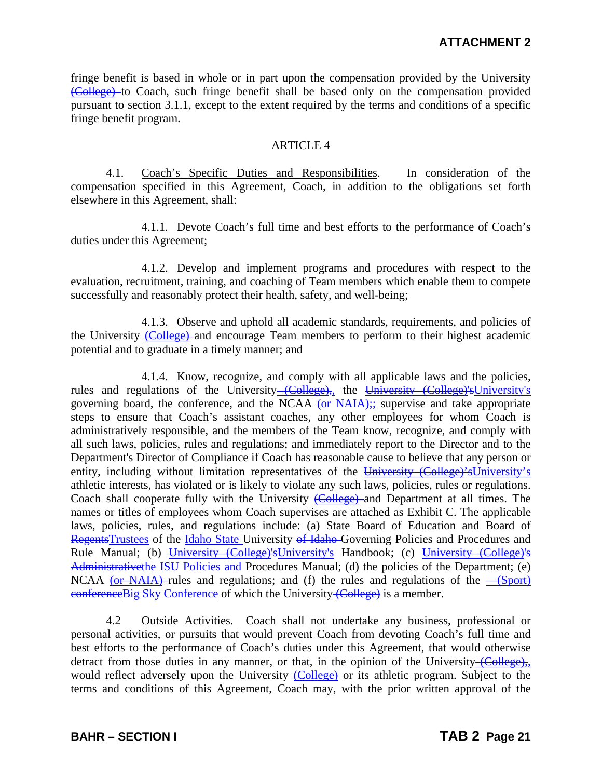fringe benefit is based in whole or in part upon the compensation provided by the University (College) to Coach, such fringe benefit shall be based only on the compensation provided pursuant to section 3.1.1, except to the extent required by the terms and conditions of a specific fringe benefit program.

### ARTICLE 4

4.1. Coach's Specific Duties and Responsibilities. In consideration of the compensation specified in this Agreement, Coach, in addition to the obligations set forth elsewhere in this Agreement, shall:

4.1.1. Devote Coach's full time and best efforts to the performance of Coach's duties under this Agreement;

4.1.2. Develop and implement programs and procedures with respect to the evaluation, recruitment, training, and coaching of Team members which enable them to compete successfully and reasonably protect their health, safety, and well-being;

4.1.3. Observe and uphold all academic standards, requirements, and policies of the University (College) and encourage Team members to perform to their highest academic potential and to graduate in a timely manner; and

4.1.4. Know, recognize, and comply with all applicable laws and the policies, rules and regulations of the University (College), the University (College)'sUniversity's governing board, the conference, and the NCAA  $\overline{(or NALA)}$ ; supervise and take appropriate steps to ensure that Coach's assistant coaches, any other employees for whom Coach is administratively responsible, and the members of the Team know, recognize, and comply with all such laws, policies, rules and regulations; and immediately report to the Director and to the Department's Director of Compliance if Coach has reasonable cause to believe that any person or entity, including without limitation representatives of the University (College)'sUniversity's athletic interests, has violated or is likely to violate any such laws, policies, rules or regulations. Coach shall cooperate fully with the University (College) and Department at all times. The names or titles of employees whom Coach supervises are attached as Exhibit C. The applicable laws, policies, rules, and regulations include: (a) State Board of Education and Board of RegentsTrustees of the Idaho State University of Idaho-Governing Policies and Procedures and Rule Manual; (b) University (College)'sUniversity's Handbook; (c) University (College)'s Administrative the ISU Policies and Procedures Manual; (d) the policies of the Department; (e) NCAA (or NAIA)-rules and regulations; and (f) the rules and regulations of the  $\frac{-}{\text{Spot}}$ conferenceBig Sky Conference of which the University (College) is a member.

4.2 Outside Activities. Coach shall not undertake any business, professional or personal activities, or pursuits that would prevent Coach from devoting Coach's full time and best efforts to the performance of Coach's duties under this Agreement, that would otherwise detract from those duties in any manner, or that, in the opinion of the University–(College), would reflect adversely upon the University (College) or its athletic program. Subject to the terms and conditions of this Agreement, Coach may, with the prior written approval of the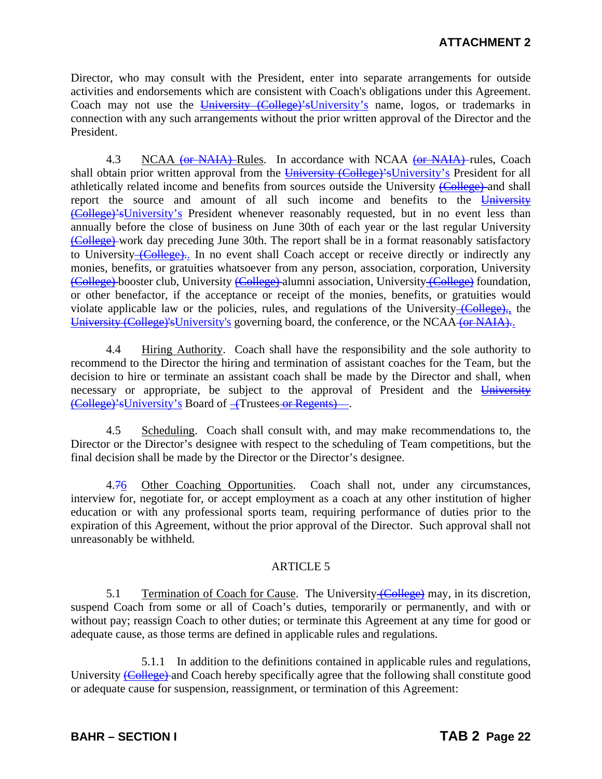Director, who may consult with the President, enter into separate arrangements for outside activities and endorsements which are consistent with Coach's obligations under this Agreement. Coach may not use the University (College)'sUniversity's name, logos, or trademarks in connection with any such arrangements without the prior written approval of the Director and the President.

4.3 NCAA (or NAIA) Rules. In accordance with NCAA (or NAIA) rules, Coach shall obtain prior written approval from the University (College)'sUniversity's President for all athletically related income and benefits from sources outside the University (College) and shall report the source and amount of all such income and benefits to the University (College)'sUniversity's President whenever reasonably requested, but in no event less than annually before the close of business on June 30th of each year or the last regular University (College) work day preceding June 30th. The report shall be in a format reasonably satisfactory to University (College).. In no event shall Coach accept or receive directly or indirectly any monies, benefits, or gratuities whatsoever from any person, association, corporation, University (College) booster club, University (College) alumni association, University (College) foundation, or other benefactor, if the acceptance or receipt of the monies, benefits, or gratuities would violate applicable law or the policies, rules, and regulations of the University (College),, the University (College)'sUniversity's governing board, the conference, or the NCAA (or NAIA)...

4.4 Hiring Authority. Coach shall have the responsibility and the sole authority to recommend to the Director the hiring and termination of assistant coaches for the Team, but the decision to hire or terminate an assistant coach shall be made by the Director and shall, when necessary or appropriate, be subject to the approval of President and the University (College)'sUniversity's Board of (Trustees or Regents).

4.5 Scheduling. Coach shall consult with, and may make recommendations to, the Director or the Director's designee with respect to the scheduling of Team competitions, but the final decision shall be made by the Director or the Director's designee.

4.76 Other Coaching Opportunities. Coach shall not, under any circumstances, interview for, negotiate for, or accept employment as a coach at any other institution of higher education or with any professional sports team, requiring performance of duties prior to the expiration of this Agreement, without the prior approval of the Director. Such approval shall not unreasonably be withheld.

## ARTICLE 5

5.1 Termination of Coach for Cause. The University (College) may, in its discretion, suspend Coach from some or all of Coach's duties, temporarily or permanently, and with or without pay; reassign Coach to other duties; or terminate this Agreement at any time for good or adequate cause, as those terms are defined in applicable rules and regulations.

5.1.1 In addition to the definitions contained in applicable rules and regulations, University (College) and Coach hereby specifically agree that the following shall constitute good or adequate cause for suspension, reassignment, or termination of this Agreement: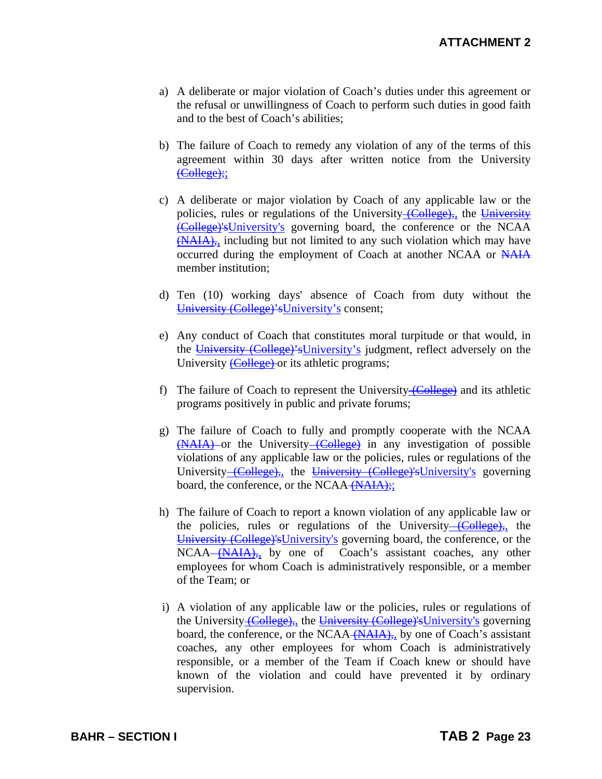- a) A deliberate or major violation of Coach's duties under this agreement or the refusal or unwillingness of Coach to perform such duties in good faith and to the best of Coach's abilities;
- b) The failure of Coach to remedy any violation of any of the terms of this agreement within 30 days after written notice from the University (College);;
- c) A deliberate or major violation by Coach of any applicable law or the policies, rules or regulations of the University (College),, the University (College)'sUniversity's governing board, the conference or the NCAA (NAIA),, including but not limited to any such violation which may have occurred during the employment of Coach at another NCAA or NAIA member institution;
- d) Ten (10) working days' absence of Coach from duty without the University (College)'sUniversity's consent;
- e) Any conduct of Coach that constitutes moral turpitude or that would, in the University (College)'sUniversity's judgment, reflect adversely on the University (College) or its athletic programs;
- f) The failure of Coach to represent the University (College) and its athletic programs positively in public and private forums;
- g) The failure of Coach to fully and promptly cooperate with the NCAA (NAIA) or the University (College) in any investigation of possible violations of any applicable law or the policies, rules or regulations of the University (College),, the University (College)'sUniversity's governing board, the conference, or the NCAA (NAIA);;
- h) The failure of Coach to report a known violation of any applicable law or the policies, rules or regulations of the University  $(College)$ , the University (College)'sUniversity's governing board, the conference, or the NCAA–(NAIA), by one of Coach's assistant coaches, any other employees for whom Coach is administratively responsible, or a member of the Team; or
- i) A violation of any applicable law or the policies, rules or regulations of the University (College),, the University (College)'sUniversity's governing board, the conference, or the NCAA (NAIA), by one of Coach's assistant coaches, any other employees for whom Coach is administratively responsible, or a member of the Team if Coach knew or should have known of the violation and could have prevented it by ordinary supervision.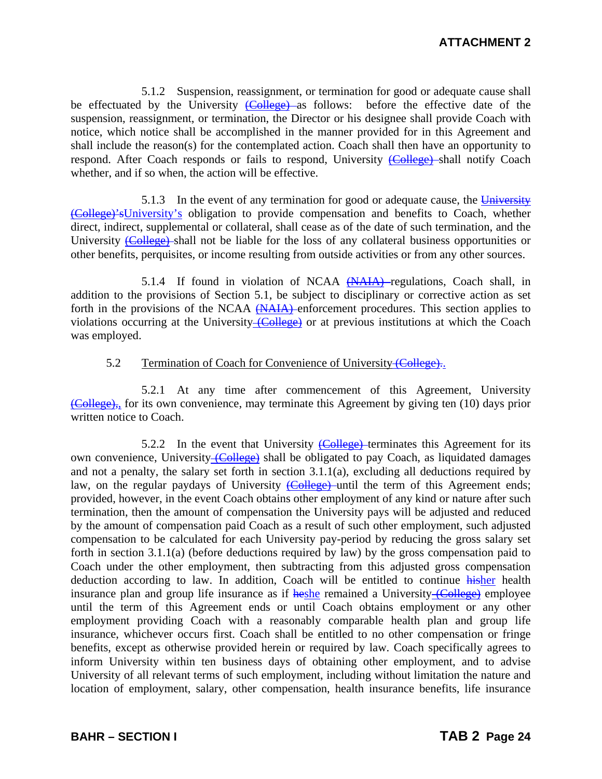5.1.2 Suspension, reassignment, or termination for good or adequate cause shall be effectuated by the University (College) as follows: before the effective date of the suspension, reassignment, or termination, the Director or his designee shall provide Coach with notice, which notice shall be accomplished in the manner provided for in this Agreement and shall include the reason(s) for the contemplated action. Coach shall then have an opportunity to respond. After Coach responds or fails to respond, University (College) shall notify Coach whether, and if so when, the action will be effective.

5.1.3 In the event of any termination for good or adequate cause, the University (College)'sUniversity's obligation to provide compensation and benefits to Coach, whether direct, indirect, supplemental or collateral, shall cease as of the date of such termination, and the University (College) shall not be liable for the loss of any collateral business opportunities or other benefits, perquisites, or income resulting from outside activities or from any other sources.

5.1.4 If found in violation of NCAA (NAIA) regulations, Coach shall, in addition to the provisions of Section 5.1, be subject to disciplinary or corrective action as set forth in the provisions of the NCAA (NAIA) enforcement procedures. This section applies to violations occurring at the University (College) or at previous institutions at which the Coach was employed.

### 5.2 Termination of Coach for Convenience of University (College).

5.2.1 At any time after commencement of this Agreement, University (College),, for its own convenience, may terminate this Agreement by giving ten (10) days prior written notice to Coach.

5.2.2 In the event that University (College) terminates this Agreement for its own convenience, University (College) shall be obligated to pay Coach, as liquidated damages and not a penalty, the salary set forth in section 3.1.1(a), excluding all deductions required by law, on the regular paydays of University (College) until the term of this Agreement ends; provided, however, in the event Coach obtains other employment of any kind or nature after such termination, then the amount of compensation the University pays will be adjusted and reduced by the amount of compensation paid Coach as a result of such other employment, such adjusted compensation to be calculated for each University pay-period by reducing the gross salary set forth in section 3.1.1(a) (before deductions required by law) by the gross compensation paid to Coach under the other employment, then subtracting from this adjusted gross compensation deduction according to law. In addition, Coach will be entitled to continue hisher health insurance plan and group life insurance as if heshe remained a University (College) employee until the term of this Agreement ends or until Coach obtains employment or any other employment providing Coach with a reasonably comparable health plan and group life insurance, whichever occurs first. Coach shall be entitled to no other compensation or fringe benefits, except as otherwise provided herein or required by law. Coach specifically agrees to inform University within ten business days of obtaining other employment, and to advise University of all relevant terms of such employment, including without limitation the nature and location of employment, salary, other compensation, health insurance benefits, life insurance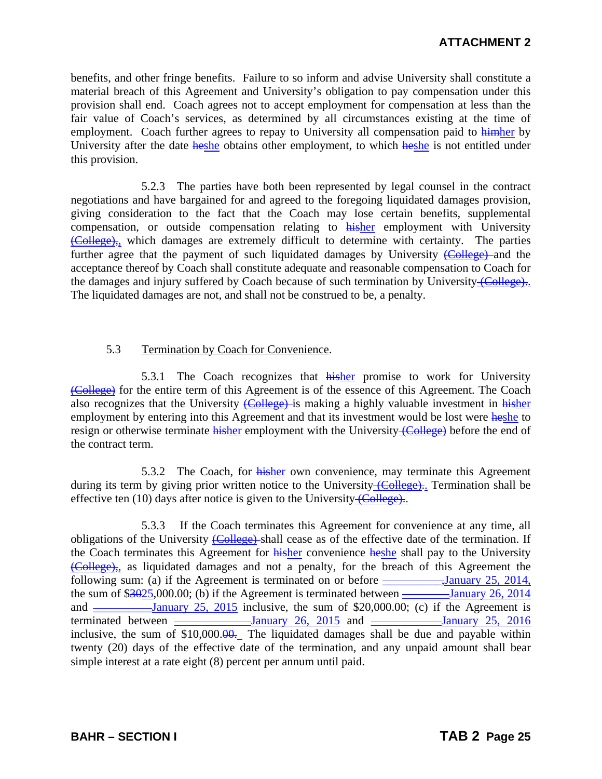benefits, and other fringe benefits. Failure to so inform and advise University shall constitute a material breach of this Agreement and University's obligation to pay compensation under this provision shall end. Coach agrees not to accept employment for compensation at less than the fair value of Coach's services, as determined by all circumstances existing at the time of employment. Coach further agrees to repay to University all compensation paid to himber by University after the date heshe obtains other employment, to which heshe is not entitled under this provision.

5.2.3 The parties have both been represented by legal counsel in the contract negotiations and have bargained for and agreed to the foregoing liquidated damages provision, giving consideration to the fact that the Coach may lose certain benefits, supplemental compensation, or outside compensation relating to hisher employment with University (College),, which damages are extremely difficult to determine with certainty. The parties further agree that the payment of such liquidated damages by University (College) and the acceptance thereof by Coach shall constitute adequate and reasonable compensation to Coach for the damages and injury suffered by Coach because of such termination by University (College). The liquidated damages are not, and shall not be construed to be, a penalty.

## 5.3 Termination by Coach for Convenience.

5.3.1 The Coach recognizes that **hisher** promise to work for University (College) for the entire term of this Agreement is of the essence of this Agreement. The Coach also recognizes that the University (College) is making a highly valuable investment in hisher employment by entering into this Agreement and that its investment would be lost were heshe to resign or otherwise terminate hisher employment with the University (College) before the end of the contract term.

 5.3.2 The Coach, for hisher own convenience, may terminate this Agreement during its term by giving prior written notice to the University (College). Termination shall be effective ten (10) days after notice is given to the University (College).

 5.3.3 If the Coach terminates this Agreement for convenience at any time, all obligations of the University (College) shall cease as of the effective date of the termination. If the Coach terminates this Agreement for hisher convenience heshe shall pay to the University (College),, as liquidated damages and not a penalty, for the breach of this Agreement the following sum: (a) if the Agreement is terminated on or before  $\frac{1}{\sqrt{25}}$ ,  $\frac{1}{\sqrt{25}}$ ,  $\frac{2014}{\sqrt{25}}$ the sum of \$3025,000.00; (b) if the Agreement is terminated between \_\_\_\_\_\_\_\_January 26, 2014 and  $\frac{1}{\sqrt{25}}$  January 25, 2015 inclusive, the sum of \$20,000.00; (c) if the Agreement is terminated between  $\frac{1}{26}$  January 26, 2015 and  $\frac{1}{26}$  January 25, 2016 inclusive, the sum of  $$10,000.00$ . The liquidated damages shall be due and payable within twenty (20) days of the effective date of the termination, and any unpaid amount shall bear simple interest at a rate eight (8) percent per annum until paid.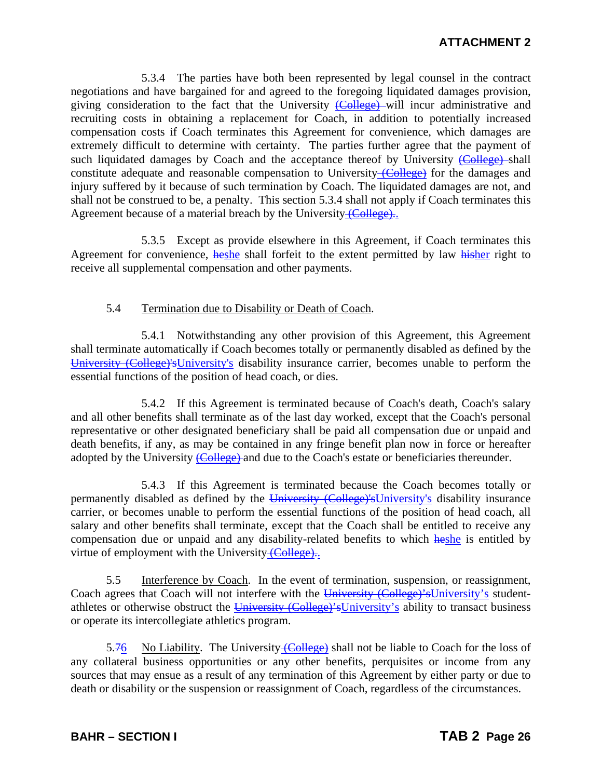5.3.4 The parties have both been represented by legal counsel in the contract negotiations and have bargained for and agreed to the foregoing liquidated damages provision, giving consideration to the fact that the University (College) will incur administrative and recruiting costs in obtaining a replacement for Coach, in addition to potentially increased compensation costs if Coach terminates this Agreement for convenience, which damages are extremely difficult to determine with certainty. The parties further agree that the payment of such liquidated damages by Coach and the acceptance thereof by University (College) shall constitute adequate and reasonable compensation to University (College) for the damages and injury suffered by it because of such termination by Coach. The liquidated damages are not, and shall not be construed to be, a penalty. This section 5.3.4 shall not apply if Coach terminates this Agreement because of a material breach by the University (College)...

 5.3.5 Except as provide elsewhere in this Agreement, if Coach terminates this Agreement for convenience, heshe shall forfeit to the extent permitted by law hisher right to receive all supplemental compensation and other payments.

## 5.4 Termination due to Disability or Death of Coach.

5.4.1 Notwithstanding any other provision of this Agreement, this Agreement shall terminate automatically if Coach becomes totally or permanently disabled as defined by the University (College)'sUniversity's disability insurance carrier, becomes unable to perform the essential functions of the position of head coach, or dies.

5.4.2 If this Agreement is terminated because of Coach's death, Coach's salary and all other benefits shall terminate as of the last day worked, except that the Coach's personal representative or other designated beneficiary shall be paid all compensation due or unpaid and death benefits, if any, as may be contained in any fringe benefit plan now in force or hereafter adopted by the University (College) and due to the Coach's estate or beneficiaries thereunder.

5.4.3 If this Agreement is terminated because the Coach becomes totally or permanently disabled as defined by the University (College)'sUniversity's disability insurance carrier, or becomes unable to perform the essential functions of the position of head coach, all salary and other benefits shall terminate, except that the Coach shall be entitled to receive any compensation due or unpaid and any disability-related benefits to which heshe is entitled by virtue of employment with the University (College)...

5.5 Interference by Coach. In the event of termination, suspension, or reassignment, Coach agrees that Coach will not interfere with the University (College)'sUniversity's studentathletes or otherwise obstruct the University (College)'sUniversity's ability to transact business or operate its intercollegiate athletics program.

5.76 No Liability. The University (College) shall not be liable to Coach for the loss of any collateral business opportunities or any other benefits, perquisites or income from any sources that may ensue as a result of any termination of this Agreement by either party or due to death or disability or the suspension or reassignment of Coach, regardless of the circumstances.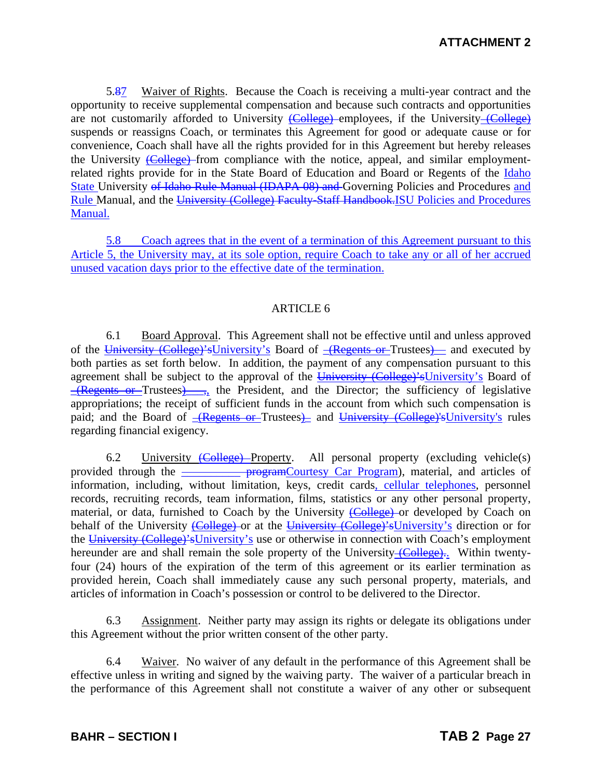5.87 Waiver of Rights. Because the Coach is receiving a multi-year contract and the opportunity to receive supplemental compensation and because such contracts and opportunities are not customarily afforded to University (College) employees, if the University (College) suspends or reassigns Coach, or terminates this Agreement for good or adequate cause or for convenience, Coach shall have all the rights provided for in this Agreement but hereby releases the University (College) from compliance with the notice, appeal, and similar employmentrelated rights provide for in the State Board of Education and Board or Regents of the Idaho State University of Idaho Rule Manual (IDAPA 08) and Governing Policies and Procedures and Rule Manual, and the University (College) Faculty-Staff Handbook.ISU Policies and Procedures Manual.

5.8 Coach agrees that in the event of a termination of this Agreement pursuant to this Article 5, the University may, at its sole option, require Coach to take any or all of her accrued unused vacation days prior to the effective date of the termination.

## ARTICLE 6

6.1 Board Approval. This Agreement shall not be effective until and unless approved of the University (College)'sUniversity's Board of <del>(Regents or T</del>rustees) and executed by both parties as set forth below. In addition, the payment of any compensation pursuant to this agreement shall be subject to the approval of the University (College)'sUniversity's Board of  $\frac{(\text{Regents or Trustees})}{\text{Regents of } \text{Peright}}$ , the President, and the Director; the sufficiency of legislative appropriations; the receipt of sufficient funds in the account from which such compensation is paid; and the Board of  $\overline{-(\text{Regents or Trustees})}$  and University (College)'s University's rules regarding financial exigency.

6.2 University (College) Property. All personal property (excluding vehicle(s) provided through the <u>entitled</u> programCourtesy Car Program), material, and articles of information, including, without limitation, keys, credit cards, cellular telephones, personnel records, recruiting records, team information, films, statistics or any other personal property, material, or data, furnished to Coach by the University (College) or developed by Coach on behalf of the University (College) or at the University (College)'sUniversity's direction or for the University (College)'sUniversity's use or otherwise in connection with Coach's employment hereunder are and shall remain the sole property of the University (College). Within twentyfour (24) hours of the expiration of the term of this agreement or its earlier termination as provided herein, Coach shall immediately cause any such personal property, materials, and articles of information in Coach's possession or control to be delivered to the Director.

6.3 Assignment. Neither party may assign its rights or delegate its obligations under this Agreement without the prior written consent of the other party.

6.4 Waiver. No waiver of any default in the performance of this Agreement shall be effective unless in writing and signed by the waiving party. The waiver of a particular breach in the performance of this Agreement shall not constitute a waiver of any other or subsequent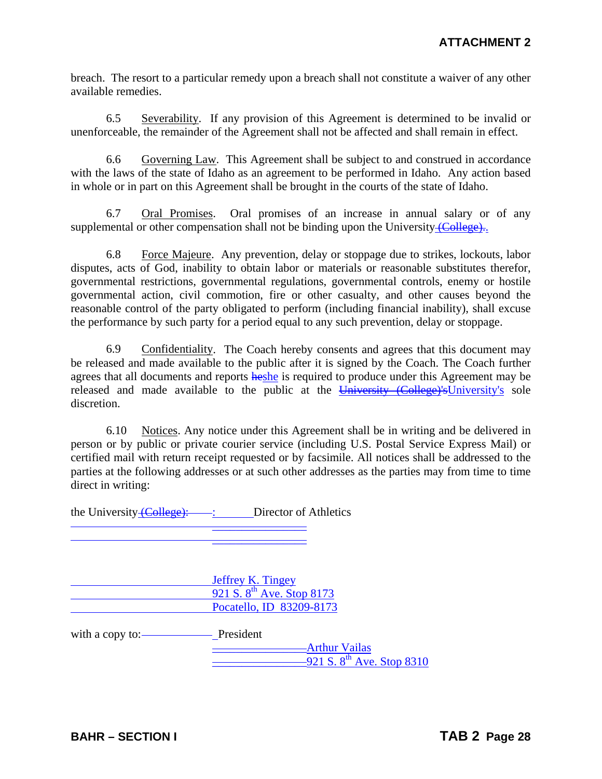breach. The resort to a particular remedy upon a breach shall not constitute a waiver of any other available remedies.

6.5 Severability. If any provision of this Agreement is determined to be invalid or unenforceable, the remainder of the Agreement shall not be affected and shall remain in effect.

6.6 Governing Law. This Agreement shall be subject to and construed in accordance with the laws of the state of Idaho as an agreement to be performed in Idaho. Any action based in whole or in part on this Agreement shall be brought in the courts of the state of Idaho.

6.7 Oral Promises. Oral promises of an increase in annual salary or of any supplemental or other compensation shall not be binding upon the University (College)...

6.8 Force Majeure. Any prevention, delay or stoppage due to strikes, lockouts, labor disputes, acts of God, inability to obtain labor or materials or reasonable substitutes therefor, governmental restrictions, governmental regulations, governmental controls, enemy or hostile governmental action, civil commotion, fire or other casualty, and other causes beyond the reasonable control of the party obligated to perform (including financial inability), shall excuse the performance by such party for a period equal to any such prevention, delay or stoppage.

6.9 Confidentiality. The Coach hereby consents and agrees that this document may be released and made available to the public after it is signed by the Coach. The Coach further agrees that all documents and reports heshe is required to produce under this Agreement may be released and made available to the public at the University (College)'sUniversity's sole discretion.

6.10 Notices. Any notice under this Agreement shall be in writing and be delivered in person or by public or private courier service (including U.S. Postal Service Express Mail) or certified mail with return receipt requested or by facsimile. All notices shall be addressed to the parties at the following addresses or at such other addresses as the parties may from time to time direct in writing:

the University (College):  $\qquad \qquad$  Director of Athletics

 $\overline{\phantom{a}}$  , where  $\overline{\phantom{a}}$  $\overline{\phantom{a}}$  , where  $\overline{\phantom{a}}$ 

 Jeffrey K. Tingey 921 S. 8<sup>th</sup> Ave. Stop 8173 Pocatello, ID 83209-8173

with a copy to: President

 \_\_\_\_\_\_\_\_\_\_\_\_\_\_\_\_Arthur Vailas  $-921$  S.  $8^{th}$  Ave. Stop 8310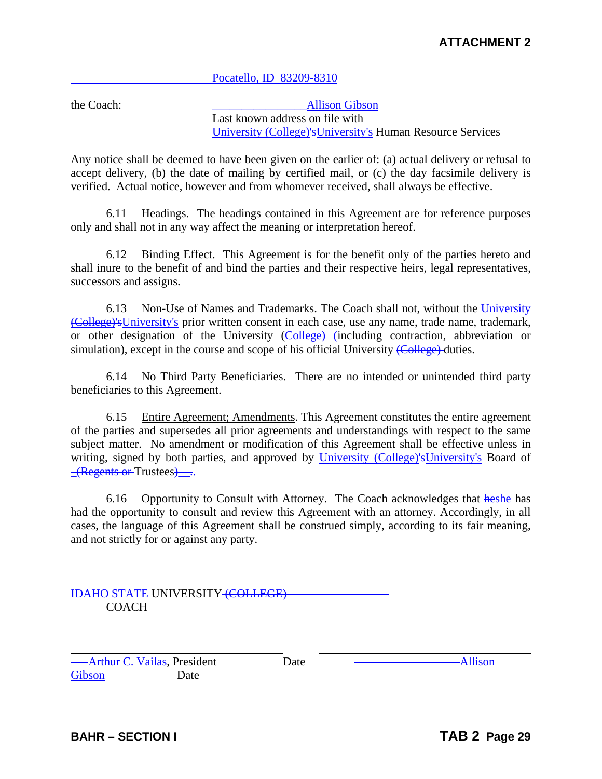#### Pocatello, ID 83209-8310

the Coach: \_\_\_\_\_\_\_\_\_\_\_\_\_\_\_\_Allison Gibson Last known address on file with University (College)'sUniversity's Human Resource Services

Any notice shall be deemed to have been given on the earlier of: (a) actual delivery or refusal to accept delivery, (b) the date of mailing by certified mail, or (c) the day facsimile delivery is verified. Actual notice, however and from whomever received, shall always be effective.

 6.11 Headings. The headings contained in this Agreement are for reference purposes only and shall not in any way affect the meaning or interpretation hereof.

 6.12 Binding Effect. This Agreement is for the benefit only of the parties hereto and shall inure to the benefit of and bind the parties and their respective heirs, legal representatives, successors and assigns.

 6.13 Non-Use of Names and Trademarks. The Coach shall not, without the University (College)'sUniversity's prior written consent in each case, use any name, trade name, trademark, or other designation of the University (College) (including contraction, abbreviation or simulation), except in the course and scope of his official University (College) duties.

 6.14 No Third Party Beneficiaries. There are no intended or unintended third party beneficiaries to this Agreement.

6.15 Entire Agreement; Amendments. This Agreement constitutes the entire agreement of the parties and supersedes all prior agreements and understandings with respect to the same subject matter. No amendment or modification of this Agreement shall be effective unless in writing, signed by both parties, and approved by University (College)'sUniversity's Board of \_(Regents or Trustees)\_\_..

6.16 Opportunity to Consult with Attorney. The Coach acknowledges that heshe has had the opportunity to consult and review this Agreement with an attorney. Accordingly, in all cases, the language of this Agreement shall be construed simply, according to its fair meaning, and not strictly for or against any party.

IDAHO STATE UNIVERSITY (COLLEGE) COACH

 $\overline{a}$  Arthur C. Vailas, President Date Allison Gibson Date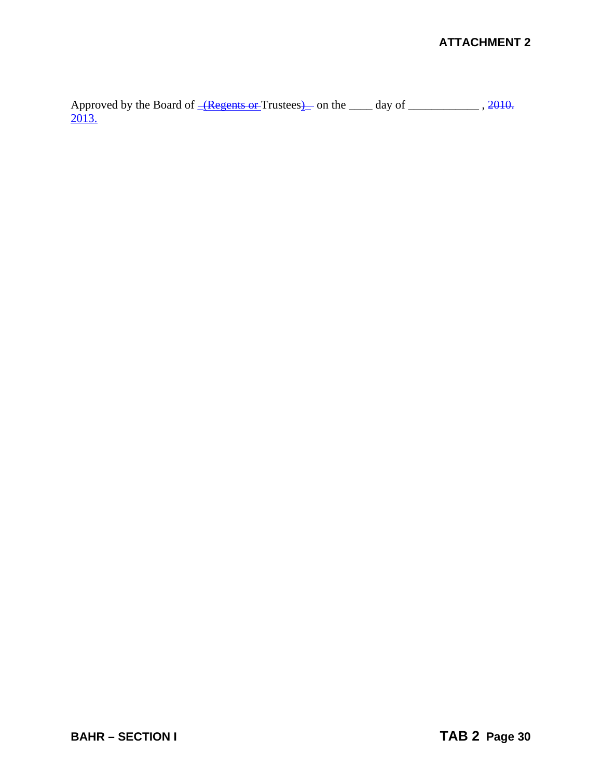# **ATTACHMENT 2**

Approved by the Board of <del>(Regents or T</del>rustees) on the <u>each</u> day of \_\_\_\_\_\_\_\_\_\_\_\_, 2010. 2013.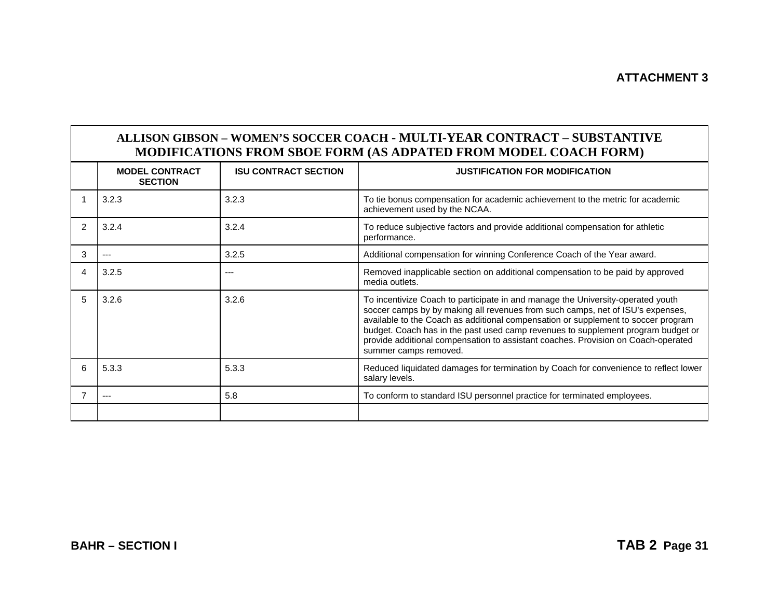## **ALLISON GIBSON – WOMEN'S SOCCER COACH - MULTI-YEAR CONTRACT – SUBSTANTIVE MODIFICATIONS FROM SBOE FORM (AS ADPATED FROM MODEL COACH FORM)**

|   | <b>MODEL CONTRACT</b><br><b>SECTION</b> | <b>ISU CONTRACT SECTION</b> | <b>JUSTIFICATION FOR MODIFICATION</b>                                                                                                                                                                                                                                                                                                                                                                                                                    |
|---|-----------------------------------------|-----------------------------|----------------------------------------------------------------------------------------------------------------------------------------------------------------------------------------------------------------------------------------------------------------------------------------------------------------------------------------------------------------------------------------------------------------------------------------------------------|
|   | 3.2.3                                   | 3.2.3                       | To tie bonus compensation for academic achievement to the metric for academic<br>achievement used by the NCAA.                                                                                                                                                                                                                                                                                                                                           |
| 2 | 3.2.4                                   | 3.2.4                       | To reduce subjective factors and provide additional compensation for athletic<br>performance.                                                                                                                                                                                                                                                                                                                                                            |
| 3 | ---                                     | 3.2.5                       | Additional compensation for winning Conference Coach of the Year award.                                                                                                                                                                                                                                                                                                                                                                                  |
| 4 | 3.2.5                                   | ---                         | Removed inapplicable section on additional compensation to be paid by approved<br>media outlets.                                                                                                                                                                                                                                                                                                                                                         |
| 5 | 3.2.6                                   | 3.2.6                       | To incentivize Coach to participate in and manage the University-operated youth<br>soccer camps by by making all revenues from such camps, net of ISU's expenses,<br>available to the Coach as additional compensation or supplement to soccer program<br>budget. Coach has in the past used camp revenues to supplement program budget or<br>provide additional compensation to assistant coaches. Provision on Coach-operated<br>summer camps removed. |
| 6 | 5.3.3                                   | 5.3.3                       | Reduced liquidated damages for termination by Coach for convenience to reflect lower<br>salary levels.                                                                                                                                                                                                                                                                                                                                                   |
|   | ---                                     | 5.8                         | To conform to standard ISU personnel practice for terminated employees.                                                                                                                                                                                                                                                                                                                                                                                  |
|   |                                         |                             |                                                                                                                                                                                                                                                                                                                                                                                                                                                          |